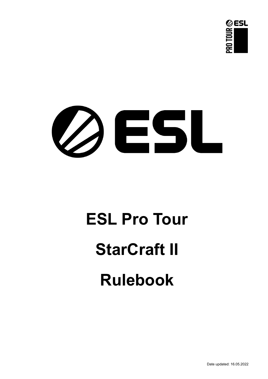



# **ESL Pro Tour StarCraft II Rulebook**

Date updated: 16.05.2022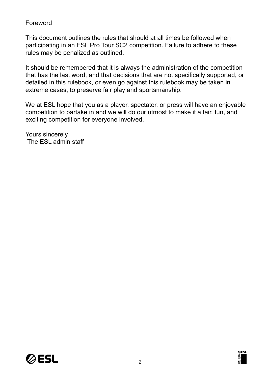## Foreword

This document outlines the rules that should at all times be followed when participating in an ESL Pro Tour SC2 competition. Failure to adhere to these rules may be penalized as outlined.

It should be remembered that it is always the administration of the competition that has the last word, and that decisions that are not specifically supported, or detailed in this rulebook, or even go against this rulebook may be taken in extreme cases, to preserve fair play and sportsmanship.

We at ESL hope that you as a player, spectator, or press will have an enjoyable competition to partake in and we will do our utmost to make it a fair, fun, and exciting competition for everyone involved.

Yours sincerely The ESL admin staff



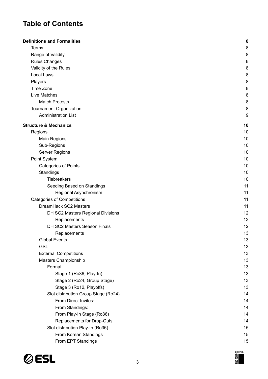# **Table of Contents**

| <b>Definitions and Formalities</b>   | 8  |
|--------------------------------------|----|
| <b>Terms</b>                         | 8  |
| Range of Validity                    | 8  |
| <b>Rules Changes</b>                 | 8  |
| Validity of the Rules                | 8  |
| Local Laws                           | 8  |
| Players                              | 8  |
| Time Zone                            | 8  |
| Live Matches                         | 8  |
| <b>Match Protests</b>                | 8  |
| Tournament Organization              | 8  |
| <b>Administration List</b>           | 9  |
| <b>Structure &amp; Mechanics</b>     | 10 |
| Regions                              | 10 |
| <b>Main Regions</b>                  | 10 |
| Sub-Regions                          | 10 |
| Server Regions                       | 10 |
| Point System                         | 10 |
| <b>Categories of Points</b>          | 10 |
| Standings                            | 10 |
| Tiebreakers                          | 10 |
| Seeding Based on Standings           | 11 |
| Regional Asynchronism                | 11 |
| <b>Categories of Competitions</b>    | 11 |
| DreamHack SC2 Masters                | 11 |
| DH SC2 Masters Regional Divisions    | 12 |
| Replacements                         | 12 |
| DH SC2 Masters Season Finals         | 12 |
| Replacements                         | 13 |
| <b>Global Events</b>                 | 13 |
| <b>GSL</b>                           | 13 |
| <b>External Competitions</b>         | 13 |
| Masters Championship                 | 13 |
| Format                               | 13 |
| Stage 1 (Ro36, Play-In)              | 13 |
| Stage 2 (Ro24, Group Stage)          | 13 |
| Stage 3 (Ro12, Playoffs)             | 13 |
| Slot distribution Group Stage (Ro24) | 14 |
| From Direct Invites:                 | 14 |
| From Standings:                      | 14 |
| From Play-In Stage (Ro36)            | 14 |
| Replacements for Drop-Outs           | 14 |
| Slot distribution Play-In (Ro36)     | 15 |
| From Korean Standings                | 15 |
| From EPT Standings                   | 15 |



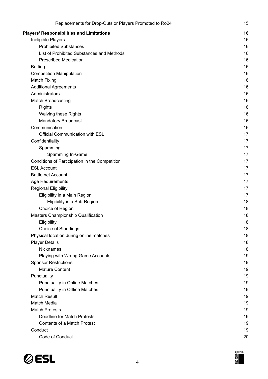| Replacements for Drop-Outs or Players Promoted to Ro24          | 15       |
|-----------------------------------------------------------------|----------|
| <b>Players' Responsibilities and Limitations</b>                | 16       |
| Ineligible Players                                              | 16       |
| <b>Prohibited Substances</b>                                    | 16       |
| List of Prohibited Substances and Methods                       | 16       |
| <b>Prescribed Medication</b>                                    | 16       |
| <b>Betting</b>                                                  | 16       |
| <b>Competition Manipulation</b>                                 | 16       |
| <b>Match Fixing</b>                                             | 16       |
| <b>Additional Agreements</b>                                    | 16       |
| Administrators                                                  | 16       |
| Match Broadcasting                                              | 16       |
| <b>Rights</b>                                                   | 16       |
| Waiving these Rights                                            | 16       |
| <b>Mandatory Broadcast</b>                                      | 16       |
| Communication                                                   | 16       |
| Official Communication with ESL                                 | 17       |
| Confidentiality                                                 | 17       |
| Spamming                                                        | 17       |
| Spamming In-Game                                                | 17       |
| Conditions of Participation in the Competition                  | 17       |
| <b>ESL Account</b>                                              | 17       |
| <b>Battle.net Account</b>                                       | 17       |
| Age Requirements                                                | 17       |
| <b>Regional Eligibility</b>                                     | 17       |
| Eligibility in a Main Region                                    | 17       |
| Eligibility in a Sub-Region                                     | 18       |
| Choice of Region                                                | 18       |
| Masters Championship Qualification                              | 18       |
| Eligibility                                                     | 18       |
| <b>Choice of Standings</b>                                      | 18       |
| Physical location during online matches                         | 18       |
| <b>Player Details</b>                                           | 18       |
| Nicknames                                                       | 18<br>19 |
| Playing with Wrong Game Accounts<br><b>Sponsor Restrictions</b> | 19       |
| <b>Mature Content</b>                                           | 19       |
| Punctuality                                                     | 19       |
| <b>Punctuality in Online Matches</b>                            | 19       |
| <b>Punctuality in Offline Matches</b>                           | 19       |
| <b>Match Result</b>                                             | 19       |
| Match Media                                                     | 19       |
| <b>Match Protests</b>                                           | 19       |
| Deadline for Match Protests                                     | 19       |
| Contents of a Match Protest                                     | 19       |
| Conduct                                                         | 19       |
| Code of Conduct                                                 | 20       |
|                                                                 |          |

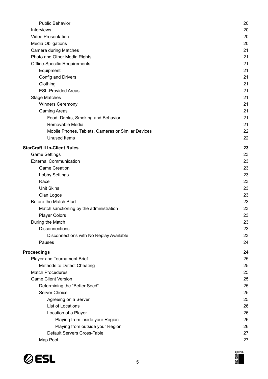| <b>Public Behavior</b>                             | 20 |
|----------------------------------------------------|----|
| <b>Interviews</b>                                  | 20 |
| <b>Video Presentation</b>                          | 20 |
| <b>Media Obligations</b>                           | 20 |
| Camera during Matches                              | 21 |
| Photo and Other Media Rights                       | 21 |
| <b>Offline-Specific Requirements</b>               | 21 |
| Equipment                                          | 21 |
| Config and Drivers                                 | 21 |
| Clothing                                           | 21 |
| <b>ESL-Provided Areas</b>                          | 21 |
| <b>Stage Matches</b>                               | 21 |
| <b>Winners Ceremony</b>                            | 21 |
| <b>Gaming Areas</b>                                | 21 |
| Food, Drinks, Smoking and Behavior                 | 21 |
| Removable Media                                    | 21 |
| Mobile Phones, Tablets, Cameras or Similar Devices | 22 |
| <b>Unused Items</b>                                | 22 |
| <b>StarCraft II In-Client Rules</b>                | 23 |
| <b>Game Settings</b>                               | 23 |
| <b>External Communication</b>                      | 23 |
| <b>Game Creation</b>                               | 23 |
| <b>Lobby Settings</b>                              | 23 |
| Race                                               | 23 |
| <b>Unit Skins</b>                                  | 23 |
| Clan Logos                                         | 23 |
| Before the Match Start                             | 23 |
| Match sanctioning by the administration            | 23 |
| <b>Player Colors</b>                               | 23 |
| During the Match                                   | 23 |
| <b>Disconnections</b>                              | 23 |
| Disconnections with No Replay Available            | 23 |
| Pauses                                             | 24 |
| <b>Proceedings</b>                                 | 24 |
| Player and Tournament Brief                        | 25 |
| <b>Methods to Detect Cheating</b>                  | 25 |
| <b>Match Procedures</b>                            | 25 |
| <b>Game Client Version</b>                         | 25 |
| Determining the "Better Seed"                      | 25 |
| Server Choice                                      | 25 |
| Agreeing on a Server                               | 25 |
| List of Locations                                  | 26 |
| Location of a Player                               | 26 |
| Playing from inside your Region                    | 26 |
| Playing from outside your Region                   | 26 |
| Default Servers Cross-Table                        | 27 |
| Map Pool                                           | 27 |



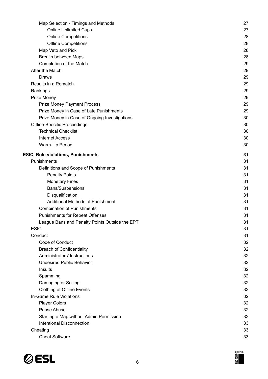| Map Selection - Timings and Methods            | 27 |
|------------------------------------------------|----|
| <b>Online Unlimited Cups</b>                   | 27 |
| <b>Online Competitions</b>                     | 28 |
| <b>Offline Competitions</b>                    | 28 |
| Map Veto and Pick                              | 28 |
| <b>Breaks between Maps</b>                     | 28 |
| Completion of the Match                        | 29 |
| After the Match                                | 29 |
| Draws                                          | 29 |
| Results in a Rematch                           | 29 |
| Rankings                                       | 29 |
| Prize Money                                    | 29 |
| <b>Prize Money Payment Process</b>             | 29 |
| Prize Money in Case of Late Punishments        | 29 |
| Prize Money in Case of Ongoing Investigations  | 30 |
| <b>Offline-Specific Proceedings</b>            | 30 |
| <b>Technical Checklist</b>                     | 30 |
| <b>Internet Access</b>                         | 30 |
| Warm-Up Period                                 | 30 |
| ESIC, Rule violations, Punishments             | 31 |
| Punishments                                    | 31 |
| Definitions and Scope of Punishments           | 31 |
| <b>Penalty Points</b>                          | 31 |
| <b>Monetary Fines</b>                          | 31 |
| Bans/Suspensions                               | 31 |
| Disqualification                               | 31 |
| Additional Methods of Punishment               | 31 |
| <b>Combination of Punishments</b>              | 31 |
| <b>Punishments for Repeat Offenses</b>         | 31 |
| League Bans and Penalty Points Outside the EPT | 31 |
| <b>ESIC</b>                                    | 31 |
| Conduct                                        | 31 |
| Code of Conduct                                | 32 |
| <b>Breach of Confidentiality</b>               | 32 |
| Administrators' Instructions                   | 32 |
| <b>Undesired Public Behavior</b>               | 32 |
| Insults                                        | 32 |
| Spamming                                       | 32 |
| Damaging or Soiling                            | 32 |
| <b>Clothing at Offline Events</b>              | 32 |
| In-Game Rule Violations                        | 32 |
| <b>Player Colors</b>                           | 32 |
| Pause Abuse                                    | 32 |
| Starting a Map without Admin Permission        | 32 |
| Intentional Disconnection                      | 33 |
| Cheating                                       | 33 |
| <b>Cheat Software</b>                          | 33 |



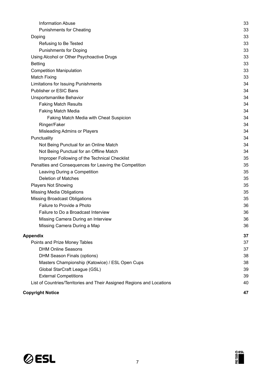| <b>Information Abuse</b>                                               | 33 |
|------------------------------------------------------------------------|----|
| <b>Punishments for Cheating</b>                                        | 33 |
| Doping                                                                 | 33 |
| Refusing to Be Tested                                                  | 33 |
| <b>Punishments for Doping</b>                                          | 33 |
| Using Alcohol or Other Psychoactive Drugs                              | 33 |
| <b>Betting</b>                                                         | 33 |
| <b>Competition Manipulation</b>                                        | 33 |
| <b>Match Fixing</b>                                                    | 33 |
| <b>Limitations for Issuing Punishments</b>                             | 34 |
| Publisher or ESIC Bans                                                 | 34 |
| Unsportsmanlike Behavior                                               | 34 |
| <b>Faking Match Results</b>                                            | 34 |
| Faking Match Media                                                     | 34 |
| <b>Faking Match Media with Cheat Suspicion</b>                         | 34 |
| Ringer/Faker                                                           | 34 |
| Misleading Admins or Players                                           | 34 |
| Punctuality                                                            | 34 |
| Not Being Punctual for an Online Match                                 | 34 |
| Not Being Punctual for an Offline Match                                | 34 |
| Improper Following of the Technical Checklist                          | 35 |
| Penalties and Consequences for Leaving the Competition                 | 35 |
| Leaving During a Competition                                           | 35 |
| <b>Deletion of Matches</b>                                             | 35 |
| <b>Players Not Showing</b>                                             | 35 |
| <b>Missing Media Obligations</b>                                       | 35 |
| <b>Missing Broadcast Obligations</b>                                   | 35 |
| Failure to Provide a Photo                                             | 36 |
| Failure to Do a Broadcast Interview                                    | 36 |
| Missing Camera During an Interview                                     | 36 |
| Missing Camera During a Map                                            | 36 |
| Appendix                                                               | 37 |
| Points and Prize Money Tables                                          | 37 |
| <b>DHM Online Seasons</b>                                              | 37 |
| DHM Season Finals (options)                                            | 38 |
| Masters Championship (Katowice) / ESL Open Cups                        | 38 |
| Global StarCraft League (GSL)                                          | 39 |
| <b>External Competitions</b>                                           | 39 |
| List of Countries/Territories and Their Assigned Regions and Locations | 40 |
| <b>Copyright Notice</b>                                                | 47 |

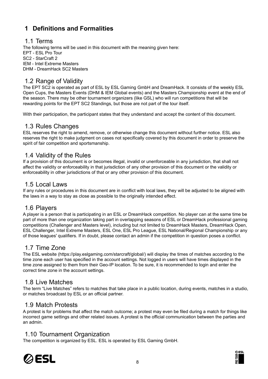# <span id="page-7-0"></span>**1 Definitions and Formalities**

#### <span id="page-7-1"></span>1.1 Terms

The following terms will be used in this document with the meaning given here: EPT - ESL Pro Tour SC2 - StarCraft 2 IEM - Intel Extreme Masters DHM - DreamHack SC2 Masters

## <span id="page-7-2"></span>1.2 Range of Validity

The EPT SC2 is operated as part of ESL by ESL Gaming GmbH and DreamHack. It consists of the weekly ESL Open Cups, the Masters Events (DHM & IEM Global events) and the Masters Championship event at the end of the season. There may be other tournament organizers (like GSL) who will run competitions that will be rewarding points for the EPT SC2 Standings, but those are not part of the tour itself.

With their participation, the participant states that they understand and accept the content of this document.

#### <span id="page-7-3"></span>1.3 Rules Changes

ESL reserves the right to amend, remove, or otherwise change this document without further notice. ESL also reserves the right to make judgment on cases not specifically covered by this document in order to preserve the spirit of fair competition and sportsmanship.

## <span id="page-7-4"></span>1.4 Validity of the Rules

If a provision of this document is or becomes illegal, invalid or unenforceable in any jurisdiction, that shall not affect the validity or enforceability in that jurisdiction of any other provision of this document or the validity or enforceability in other jurisdictions of that or any other provision of this document.

## <span id="page-7-5"></span>1.5 Local Laws

If any rules or procedures in this document are in conflict with local laws, they will be adjusted to be aligned with the laws in a way to stay as close as possible to the originally intended effect.

## <span id="page-7-6"></span>1.6 Players

A player is a person that is participating in an ESL or DreamHack competition. No player can at the same time be part of more than one organization taking part in overlapping seasons of ESL or DreamHack professional gaming competitions (Challenger and Masters level), including but not limited to DreamHack Masters, DreamHack Open, ESL Challenger, Intel Extreme Masters, ESL One, ESL Pro League, ESL National/Regional Championship or any of those leagues' qualifiers. If in doubt, please contact an admin if the competition in question poses a conflict.

## <span id="page-7-7"></span>1.7 Time Zone

The ESL website (https://play.eslgaming.com/starcraft/global/) will display the times of matches according to the time zone each user has specified in the account settings. Not logged in users will have times displayed in the time zone assigned to them from their Geo-IP location. To be sure, it is recommended to login and enter the correct time zone in the account settings.

## <span id="page-7-8"></span>1.8 Live Matches

The term "Live Matches" refers to matches that take place in a public location, during events, matches in a studio, or matches broadcast by ESL or an official partner.

## <span id="page-7-9"></span>1.9 Match Protests

A protest is for problems that affect the match outcome; a protest may even be filed during a match for things like incorrect game settings and other related issues. A protest is the official communication between the parties and an admin.

## <span id="page-7-10"></span>1.10 Tournament Organization

The competition is organized by ESL. ESL is operated by ESL Gaming GmbH.



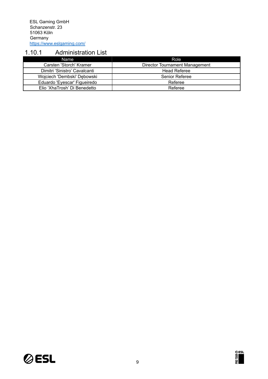## <span id="page-8-0"></span>1.10.1 Administration List

| Name                          | Role                           |
|-------------------------------|--------------------------------|
| Carsten 'Storch' Kramer       | Director Tournament Management |
| Dimitri 'Sinistro' Cavalcanti | <b>Head Referee</b>            |
| Wojciech 'Dembski' Dębowski   | Senior Referee                 |
| Eduardo 'Eyescar' Figueiredo  | Referee                        |
| Elio 'XhaTrosh' Di Benedetto  | Referee                        |



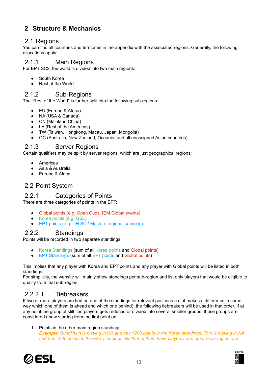# <span id="page-9-0"></span>**2 Structure & Mechanics**

## <span id="page-9-1"></span>2.1 Regions

You can find all countries and territories in the appendix with the associated regions. Generally, the following allocations apply:

#### <span id="page-9-2"></span>2.1.1 Main Regions

For EPT SC2, the world is divided into two main regions:

- South Korea
- Rest of the World

#### <span id="page-9-3"></span>2.1.2 Sub-Regions

The "Rest of the World" is further split into the following sub-regions:

- EU (Europe & Africa)
- NA (USA & Canada)
- CN (Mainland China)
- LA (Rest of the Americas)
- TW (Taiwan, Hongkong, Macau, Japan, Mongolia)
- OC (Australia, New Zealand, Oceania, and all unassigned Asian countries)

## <span id="page-9-4"></span>2.1.3 Server Regions

Certain qualifiers may be split by server regions, which are just geographical regions:

- Americas
- Asia & Australia
- Europe & Africa

## <span id="page-9-5"></span>2.2 Point System

#### <span id="page-9-6"></span>2.2.1 Categories of Points

There are three categories of points in the EPT:

- Global points (e.g. Open Cups, IEM Global events)
- Korea points (e.g. GSL)
- EPT points (e.g. DH SC2 Masters regional seasons)

## <span id="page-9-7"></span>2.2.2 Standings

Points will be recorded in two separate standings:

- Korea Standings (sum of all Korea points and Global points)
- EPT Standings (sum of all EPT points and Global points)

This implies that any player with Korea and EPT points and any player with Global points will be listed in both standings.

For simplicity, the website will mainly show standings per sub-region and list only players that would be eligible to qualify from that sub-region.

## <span id="page-9-8"></span>2.2.2.1 Tiebreakers

If two or more players are tied on one of the standings for relevant positions (i.e. it makes a difference in some way which one of them is ahead and which one behind), the following tiebreakers will be used in that order. If at any point the group of still tied players gets reduced or divided into several smaller groups, those groups are considered anew starting from the first point on.

1. Points in the other main region standings **Example:** SungHyun is playing in KR and has 1200 points in the Korea standings. Tom is playing in NA and has 1200 points in the EPT standings. Neither of them have played in the other main region and



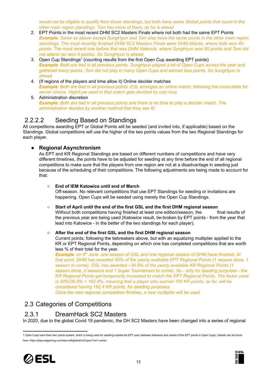would not be eligible to qualify from those standings, but both have some Global points that count in the *other main region standings. Tom has more of them, so he is ahead.*

- 2. EPT Points in the most recent DHM SC2 Masters Finals where not both had the same EPT Points **Example:** Same as above except SungHyun and Tom also have the same points in the other main region *standings. The most recently finished DHM SC2 Masters Finals were DHM Atlanta, where both won 40 points. The most recent one before that was DHM Valencia, where SungHyun won 60 points and Tom did not attend (so won 0 points). So SungHyun is ahead.*
- 3. Open Cup Standings<sup>1</sup> (counting results from the first Open Cup awarding EPT points) Example: Both are tied in all previous points. SungHyun played a lot of Open Cups across the year and *gathered many points. Tom did not play in many Open Cups and earned less points. So SungHyun is ahead.*
- 4. (If regions of the players and time allow it) Online decider matches **Example:** Both are tied in all previous points. ESL arranges an online match, following the cross-table for *server choice. High/Low seed in that match gets decided by coin toss.*
- 5. Administration discretion **Example:** Both are tied in all previous points and there is no time to play a decider match. The *administration decides by another method that they see fit.*

## <span id="page-10-0"></span>2.2.2.2 Seeding Based on Standings

All competitions awarding EPT or Global Points will be seeded (and invited into, if applicable) based on the Standings. Global competitions will use the higher of the two points values from the two Regional Standings for each player.

#### <span id="page-10-1"></span>**● Regional Asynchronism**

As EPT and KR Regional Standings are based on different numbers of competitions and have very different timelines, the points have to be adjusted for seeding at any time before the end of all regional competitions to make sure that the players from one region are not at a disadvantage in seeding just because of the scheduling of their competitions. The following adjustments are being made to account for that:

#### ○ **End of IEM Katowice until end of March**

Off-season. No relevant competitions that use EPT Standings for seeding or invitations are happening. Open Cups will be seeded using merely the Open Cup Standings.

#### ○ **Start of April until the end of the first GSL and the first DHM regional season** Without both competitions having finished at least one edition/season, the final results of the previous year are being used (Katowice result, tie-broken by EPT points - from the year that lead into Katowice - in the better of the two standings for each player).

#### ○ **After the end of the first GSL and the first DHM regional season**

Current points, following the tiebreakers above, but with an equalizing multiplier applied to the KR or EPT Regional Points, depending on which one has completed competitions that are worth less % of their total for the year.

*Example: on 6 th June, one season of GSL and one regional season of DHM have finished. At that point, DHM has awarded 50% of the yearly available EPT Regional Points (1 season done, 1 season to come). GSL has awarded ~30.8% of the yearly available KR Regional Points (1 season done, 2 seasons and 1 Super Tournament to come). So - only for seeding purposes - the KR Regional Points get temporarily increased to match the EPT Regional Points. The factor used is 50%/30.8% = 162.4%, meaning that a player who earned 100 KR points, so far, will be considered having 162.4 KR points, for seeding purposes.*

*Once the next regional competition finishes, a new multiplier will be used.*

## <span id="page-10-2"></span>2.3 Categories of Competitions

#### <span id="page-10-3"></span>2.3.1 DreamHack SC2 Masters

In 2020, due to the global Covid 19 pandemic, the DH SC2 Masters have been changed into a series of regional

<sup>1</sup> Open Cups have their own points system, which is being used for seeding outside the EPT-year (between Katowice and restart of the EPT points in Open Cups). Details can be found here: https://play.eslgaming.com/starcraft/global/sc2/open/1on1-series



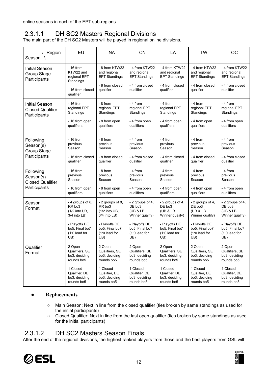online seasons in each of the EPT sub-regions.

## <span id="page-11-0"></span>2.3.1.1 DH SC2 Masters Regional Divisions

The main part of the DH SC2 Masters will be played in regional online divisions.

| Region<br>Season                                                  | EU                                                                                                                                   | <b>NA</b>                                                                                                                            | <b>CN</b>                                                                                                              | LA                                                                                                                     | <b>TW</b>                                                                                                              | <b>OC</b>                                                                                                              |
|-------------------------------------------------------------------|--------------------------------------------------------------------------------------------------------------------------------------|--------------------------------------------------------------------------------------------------------------------------------------|------------------------------------------------------------------------------------------------------------------------|------------------------------------------------------------------------------------------------------------------------|------------------------------------------------------------------------------------------------------------------------|------------------------------------------------------------------------------------------------------------------------|
| <b>Initial Season</b><br>Group Stage<br>Participants              | $-16$ from<br>KTW22 and<br>regional EPT<br>Standings<br>- 16 from closed<br>qualifier                                                | - 8 from KTW22<br>and regional<br><b>EPT Standings</b><br>- 8 from closed<br>qualifier                                               | - 4 from KTW22<br>and regional<br><b>EPT Standings</b><br>- 4 from closed<br>qualifier                                 | - 4 from KTW22<br>and regional<br><b>EPT Standings</b><br>- 4 from closed<br>qualifier                                 | - 4 from KTW22<br>and regional<br><b>EPT Standings</b><br>- 4 from closed<br>qualifier                                 | - 4 from KTW22<br>and regional<br><b>EPT Standings</b><br>- 4 from closed<br>qualifier                                 |
| <b>Initial Season</b><br><b>Closed Qualifier</b><br>Participants  | $-16$ from<br>regional EPT<br>Standings<br>- 16 from open<br>qualifiers                                                              | - 8 from<br>regional EPT<br>Standings<br>- 8 from open<br>qualifiers                                                                 | - 4 from<br>regional EPT<br>Standings<br>- 4 from open<br>qualifiers                                                   | - 4 from<br>regional EPT<br>Standings<br>- 4 from open<br>qualifiers                                                   | - 4 from<br>regional EPT<br>Standings<br>- 4 from open<br>qualifiers                                                   | - 4 from<br>regional EPT<br>Standings<br>- 4 from open<br>qualifiers                                                   |
| Following<br>Season(s)<br>Group Stage<br>Participants             | $-16$ from<br>previous<br>Season<br>- 16 from closed<br>qualifier                                                                    | - 8 from<br>previous<br>Season<br>- 8 from closed<br>qualifier                                                                       | - 4 from<br>previous<br>Season<br>- 4 from closed<br>qualifier                                                         | - 4 from<br>previous<br>Season<br>- 4 from closed<br>qualifier                                                         | - 4 from<br>previous<br>Season<br>- 4 from closed<br>qualifier                                                         | - 4 from<br>previous<br>Season<br>- 4 from closed<br>qualifier                                                         |
| Following<br>Season(s)<br><b>Closed Qualifier</b><br>Participants | $-16$ from<br>previous<br>Season<br>- 16 from open<br>qualifiers                                                                     | - 8 from<br>previous<br>Season<br>- 8 from open<br>qualifiers                                                                        | - 4 from<br>previous<br>Season<br>- 4 from open<br>qualifiers                                                          | - 4 from<br>previous<br>Season<br>- 4 from open<br>qualifiers                                                          | - 4 from<br>previous<br>Season<br>- 4 from open<br>qualifiers                                                          | $-4$ from<br>previous<br>Season<br>- 4 from open<br>qualifiers                                                         |
| Season<br>Format                                                  | - 4 groups of 8,<br>RR bo <sub>3</sub><br>(1/2 into UB,<br>3/4 into LB)<br>- Playoffs DE<br>bo5, Final bo7<br>$(1:0$ lead for<br>UB) | - 2 groups of 8,<br>RR bo <sub>3</sub><br>(1/2 into UB,<br>3/4 into LB)<br>- Playoffs DE<br>bo5. Final bo7<br>$(1:0$ lead for<br>UB) | - 2 groups of 4,<br>DE bo3<br>(UB & LB<br>Winner qualify)<br>- Playoffs DE<br>bo5, Final bo7<br>$(1:0$ lead for<br>UB) | - 2 groups of 4,<br>DE bo3<br>(UB & LB<br>Winner qualify)<br>- Playoffs DE<br>bo5, Final bo7<br>$(1:0$ lead for<br>UB) | - 2 groups of 4,<br>DE bo3<br>(UB & LB<br>Winner qualify)<br>- Playoffs DE<br>bo5. Final bo7<br>$(1:0$ lead for<br>UB) | - 2 groups of 4,<br>DE bo3<br>(UB & LB<br>Winner qualify)<br>- Playoffs DE<br>bo5, Final bo7<br>$(1:0$ lead for<br>UB) |
| Qualifier<br>Format                                               | 2 Open<br>Qualifiers, SE<br>bo3, deciding<br>rounds bo5<br>1 Closed<br>Qualifier, DE                                                 | 2 Open<br>Qualifiers, SE<br>bo3, deciding<br>rounds bo5<br>1 Closed<br>Qualifier, DE                                                 | 2 Open<br>Qualifiers, SE<br>bo3, deciding<br>rounds bo5<br>1 Closed<br>Qualifier, DE                                   | 2 Open<br>Qualifiers, SE<br>bo3, deciding<br>rounds bo5<br>1 Closed<br>Qualifier, DE                                   | 2 Open<br>Qualifiers, SE<br>bo3, deciding<br>rounds bo5<br>1 Closed<br>Qualifier, DE                                   | 2 Open<br>Qualifiers, SE<br>bo3, deciding<br>rounds bo5<br>1 Closed<br>Qualifier, DE                                   |
|                                                                   | bo3, deciding<br>rounds bo5                                                                                                          | bo3, deciding<br>rounds bo5                                                                                                          | bo3, deciding<br>rounds bo5                                                                                            | bo3, deciding<br>rounds bo5                                                                                            | bo3, deciding<br>rounds bo5                                                                                            | bo3, deciding<br>rounds bo5                                                                                            |

#### <span id="page-11-1"></span>**● Replacements**

- Main Season: Next in line from the closed qualifier (ties broken by same standings as used for the initial participants)
- Closed Qualifier: Next in line from the last open qualifier (ties broken by same standings as used for the initial participants)

## <span id="page-11-2"></span>2.3.1.2 DH SC2 Masters Season Finals

After the end of the regional divisions, the highest ranked players from those and the best players from GSL will



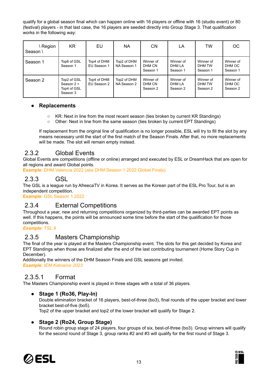qualify for a global season final which can happen online with 16 players or offline with 16 (studio event) or 80 (festival) players - in that last case, the 16 players are seeded directly into Group Stage 3. That qualification works in the following way:

| Region<br>Season \ | KR                                                   | EU                         | NA.                        | <b>CN</b>                       | LA                              | TW                              | <b>OC</b>                       |
|--------------------|------------------------------------------------------|----------------------------|----------------------------|---------------------------------|---------------------------------|---------------------------------|---------------------------------|
| Season 1           | Top6 of GSL<br>Season 1                              | Top4 of DHM<br>EU Season 1 | Top2 of DHM<br>NA Season 1 | Winner of<br>DHM CN<br>Season 1 | Winner of<br>DHM LA<br>Season 1 | Winner of<br>DHM TW<br>Season 1 | Winner of<br>DHM OC<br>Season 1 |
| Season 2           | Top2 of GSL<br>Season 2 +<br>Top4 of GSL<br>Season 3 | Top4 of DHM<br>EU Season 2 | Top2 of DHM<br>NA Season 2 | Winner of<br>DHM CN<br>Season 2 | Winner of<br>DHM LA<br>Season 2 | Winner of<br>DHM TW<br>Season 2 | Winner of<br>DHM OC<br>Season 2 |

#### <span id="page-12-0"></span>**● Replacements**

- KR: Next in line from the most recent season (ties broken by current KR Standings)
- Other: Next in line from the same season (ties broken by current EPT Standings)

If replacement from the original line of qualification is no longer possible, ESL will try to fill the slot by any means necessary until the start of the first match of the Season Finals. After that, no more replacements will be made. The slot will remain empty instead.

## <span id="page-12-1"></span>2.3.2 Global Events

Global Events are competitions (offline or online) arranged and executed by ESL or DreamHack that are open for all regions and award Global points.

**Example**: DHM Valencia 2022 (aka DHM Season 1 2022 Global Finals).

## <span id="page-12-2"></span>2.3.3 GSL

The GSL is a league run by AfreecaTV in Korea. It serves as the Korean part of the ESL Pro Tour, but is an independent competition.

**Example**: GSL Season 1 2022

## <span id="page-12-3"></span>2.3.4 External Competitions

Throughout a year, new and returning competitions organized by third-parties can be awarded EPT points as well. If this happens, the points will be announced some time before the start of the qualification for those competitions.

*Example: TSL 9*

## <span id="page-12-4"></span>2.3.5 Masters Championship

The final of the year is played at the Masters Championship event. The slots for this get decided by Korea and EPT Standings when those are finalized after the end of the last contributing tournament (Home Story Cup in December).

Additionally the winners of the DHM Season Finals and GSL seasons get invited. *Example: IEM Katowice 2023*

## <span id="page-12-5"></span>2.3.5.1 Format

<span id="page-12-6"></span>The Masters Championship event is played in three stages with a total of 36 players.

#### **● Stage 1 (Ro36, Play-In)**

Double elimination bracket of 16 players, best-of-three (bo3), final rounds of the upper bracket and lower bracket best-of-five (bo5).

Top2 of the upper bracket and top2 of the lower bracket will qualify for Stage 2.

#### <span id="page-12-7"></span>**● Stage 2 (Ro24, Group Stage)**

Round robin group stage of 24 players, four groups of six, best-of-three (bo3). Group winners will qualify for the second round of Stage 3, group ranks #2 and #3 will qualify for the first round of Stage 3.



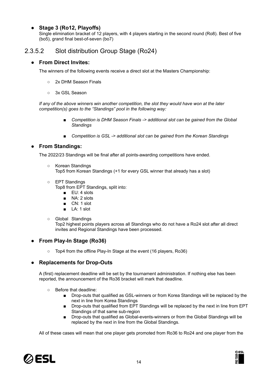#### <span id="page-13-0"></span>**● Stage 3 (Ro12, Playoffs)**

Single elimination bracket of 12 players, with 4 players starting in the second round (Ro8). Best of five (bo5), grand final best-of-seven (bo7)

## <span id="page-13-2"></span><span id="page-13-1"></span>2.3.5.2 Slot distribution Group Stage (Ro24)

#### **● From Direct Invites:**

The winners of the following events receive a direct slot at the Masters Championship:

- 2x DHM Season Finals
- o 3x GSL Season

*If any of the above winners win another competition, the slot they would have won at the later competition(s) goes to the "Standings" pool in the following way:*

- *Competition is DHM Season Finals -> additional slot can be gained from the Global Standings*
- Competition *is* GSL -> additional slot can be gained from the Korean Standings

#### <span id="page-13-3"></span>**● From Standings:**

The 2022/23 Standings will be final after all points-awarding competitions have ended.

- Korean Standings Top5 from Korean Standings (+1 for every GSL winner that already has a slot)
- EPT Standings

Top8 from EPT Standings, split into:

- EU: 4 slots
- NA: 2 slots
- CN: 1 slot
- LA: 1 slot
- Global Standings

Top2 highest points players across all Standings who do not have a Ro24 slot after all direct invites and Regional Standings have been processed.

#### <span id="page-13-4"></span>**● From Play-In Stage (Ro36)**

○ Top4 from the offline Play-In Stage at the event (16 players, Ro36)

#### <span id="page-13-5"></span>**● Replacements for Drop-Outs**

A (first) replacement deadline will be set by the tournament administration. If nothing else has been reported, the announcement of the Ro36 bracket will mark that deadline.

- Before that deadline:
	- Drop-outs that qualified as GSL-winners or from Korea Standings will be replaced by the next in line from Korea Standings
	- Drop-outs that qualified from EPT Standings will be replaced by the next in line from EPT Standings of that same sub-region
	- Drop-outs that qualified as Global-events-winners or from the Global Standings will be replaced by the next in line from the Global Standings.

All of these cases will mean that one player gets promoted from Ro36 to Ro24 and one player from the



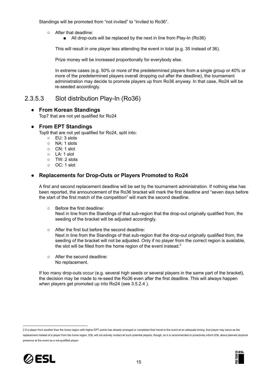Standings will be promoted from "not invited" to "invited to Ro36".

- After that deadline:
	- All drop-outs will be replaced by the next in line from Play-In (Ro36)

This will result in one player less attending the event in total (e.g. 35 instead of 36).

Prize money will be increased proportionally for everybody else.

In extreme cases (e.g. 50% or more of the predetermined players from a single group or 40% or more of the predetermined players overall dropping out after the deadline), the tournament administration may decide to promote players up from Ro36 anyway. In that case, Ro24 will be re-seeded accordingly.

## <span id="page-14-1"></span><span id="page-14-0"></span>2.3.5.3 Slot distribution Play-In (Ro36)

#### **● From Korean Standings**

Top7 that are not yet qualified for Ro24

#### <span id="page-14-2"></span>**● From EPT Standings**

Top9 that are not yet qualified for Ro24, split into:

- EU: 3 slots
- NA: 1 slots
- CN: 1 slot
- LA: 1 slot
- TW: 2 slots
- OC: 1 slot

#### <span id="page-14-3"></span>**● Replacements for Drop-Outs or Players Promoted to Ro24**

A first and second replacement deadline will be set by the tournament administration. If nothing else has been reported, the announcement of the Ro36 bracket will mark the first deadline and "seven days before the start of the first match of the competition" will mark the second deadline.

○ Before the first deadline:

Next in line from the Standings of that sub-region that the drop-out originally qualified from, the seeding of the bracket will be adjusted accordingly.

- After the first but before the second deadline: Next in line from the Standings of that sub-region that the drop-out originally qualified from, the seeding of the bracket will not be adjusted. Only if no player from the correct region is available, the slot will be filled from the home region of the event instead. $2$
- After the second deadline: No replacement.

If too many drop-outs occur (e.g. several high seeds or several players in the same part of the bracket), the decision may be made to re-seed the Ro36 even after the first deadline. This will always happen when players get promoted up into Ro24 (see 3.5.2.4 ).

2 If a player from another than the home region with higher EPT points has already arranged or completed their travel to the event at an adequate timing, that player may serve as the replacement instead of a player from the home region. ESL will not actively contact all such potential players, though, so it is recommended to proactively inform ESL about planned physical presence at the event as a not-qualified player.



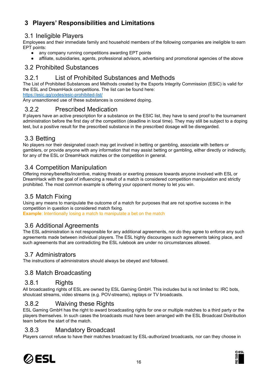# <span id="page-15-0"></span>**3 Players' Responsibilities and Limitations**

## <span id="page-15-1"></span>3.1 Ineligible Players

Employees and their immediate family and household members of the following companies are ineligible to earn EPT points:

- any company running competitions awarding EPT points
- affiliate, subsidiaries, agents, professional advisors, advertising and promotional agencies of the above

## <span id="page-15-2"></span>3.2 Prohibited Substances

## <span id="page-15-3"></span>3.2.1 List of Prohibited Substances and Methods

The List of Prohibited Substances and Methods created by the Esports Integrity Commission (ESIC) is valid for the ESL and DreamHack competitions. The Iist can be found here:

<https://esic.gg/codes/esic-prohibited-list/>

Any unsanctioned use of these substances is considered doping.

#### <span id="page-15-4"></span>3.2.2 Prescribed Medication

If players have an active prescription for a substance on the ESIC list, they have to send proof to the tournament administration before the first day of the competition (deadline in local time). They may still be subject to a doping test, but a positive result for the prescribed substance in the prescribed dosage will be disregarded.

## <span id="page-15-5"></span>3.3 Betting

No players nor their designated coach may get involved in betting or gambling, associate with betters or gamblers, or provide anyone with any information that may assist betting or gambling, either directly or indirectly, for any of the ESL or DreamHack matches or the competition in general.

## <span id="page-15-6"></span>3.4 Competition Manipulation

Offering money/benefits/incentive, making threats or exerting pressure towards anyone involved with ESL or DreamHack with the goal of influencing a result of a match is considered competition manipulation and strictly prohibited. The most common example is offering your opponent money to let you win.

#### <span id="page-15-7"></span>3.5 Match Fixing

Using any means to manipulate the outcome of a match for purposes that are not sportive success in the competition in question is considered match fixing. **Example**: Intentionally losing a match to manipulate a bet on the match

## <span id="page-15-8"></span>3.6 Additional Agreements

The ESL administration is not responsible for any additional agreements, nor do they agree to enforce any such agreements made between individual players. The ESL highly discourages such agreements taking place, and such agreements that are contradicting the ESL rulebook are under no circumstances allowed.

#### <span id="page-15-9"></span>3.7 Administrators

<span id="page-15-10"></span>The instructions of administrators should always be obeyed and followed.

## 3.8 Match Broadcasting

#### <span id="page-15-11"></span>3.8.1 Rights

All broadcasting rights of ESL are owned by ESL Gaming GmbH. This includes but is not limited to: IRC bots, shoutcast streams, video streams (e.g. POV-streams), replays or TV broadcasts.

## <span id="page-15-12"></span>3.8.2 Waiving these Rights

ESL Gaming GmbH has the right to award broadcasting rights for one or multiple matches to a third party or the players themselves. In such cases the broadcasts must have been arranged with the ESL Broadcast Distribution team before the start of the match.

## <span id="page-15-13"></span>3.8.3 Mandatory Broadcast

Players cannot refuse to have their matches broadcast by ESL-authorized broadcasts, nor can they choose in



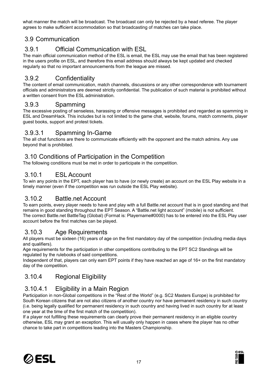what manner the match will be broadcast. The broadcast can only be rejected by a head referee. The player agrees to make sufficient accommodation so that broadcasting of matches can take place.

## <span id="page-16-0"></span>3.9 Communication

## <span id="page-16-1"></span>3.9.1 Official Communication with ESL

The main official communication method of the ESL is email, the ESL may use the email that has been registered in the users profile on ESL, and therefore this email address should always be kept updated and checked regularly so that no important announcements from the league are missed.

## <span id="page-16-2"></span>3.9.2 Confidentiality

The content of email communication, match channels, discussions or any other correspondence with tournament officials and administrators are deemed strictly confidential. The publication of such material is prohibited without a written consent from the ESL administration.

## <span id="page-16-3"></span>3.9.3 Spamming

The excessive posting of senseless, harassing or offensive messages is prohibited and regarded as spamming in ESL and DreamHack. This includes but is not limited to the game chat, website, forums, match comments, player guest books, support and protest tickets.

## <span id="page-16-4"></span>3.9.3.1 Spamming In-Game

The all chat functions are there to communicate efficiently with the opponent and the match admins. Any use beyond that is prohibited.

## <span id="page-16-5"></span>3.10 Conditions of Participation in the Competition

<span id="page-16-6"></span>The following conditions must be met in order to participate in the competition.

## 3.10.1 ESL Account

To win any points in the EPT, each player has to have (or newly create) an account on the ESL Play website in a timely manner (even if the competition was run outside the ESL Play website).

## <span id="page-16-7"></span>3.10.2 Battle.net Account

To earn points, every player needs to have and play with a full Battle.net account that is in good standing and that remains in good standing throughout the EPT Season. A "Battle.net light account" (mobile) is not sufficient. The correct Battle.net BattleTag (Global) (Format is: Playername#0000) has to be entered into the ESL Play user account before the first matches can be played.

## <span id="page-16-8"></span>3.10.3 Age Requirements

All players must be sixteen (16) years of age on the first mandatory day of the competition (including media days and qualifiers).

Age requirements for the participation in other competitions contributing to the EPT SC2 Standings will be regulated by the rulebooks of said competitions.

Independent of that, players can only earn EPT points if they have reached an age of 16+ on the first mandatory day of the competition.

## <span id="page-16-9"></span>3.10.4 Regional Eligibility

## <span id="page-16-10"></span>3.10.4.1 Eligibility in a Main Region

Participation in non-Global competitions in the "Rest of the World" (e.g. SC2 Masters Europe) is prohibited for South Korean citizens that are not also citizens of another country nor have permanent residency in such country (i.e. being legally qualified for permanent residency in such country and having lived in such country for at least one year at the time of the first match of the competition).

If a player not fulfilling these requirements can clearly prove their permanent residency in an eligible country otherwise, ESL may grant an exception. This will usually only happen in cases where the player has no other chance to take part in competitions leading into the Masters Championship.



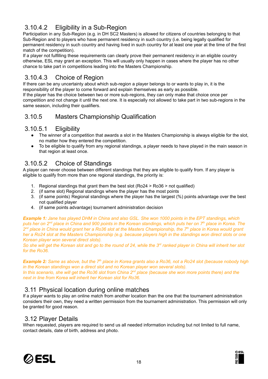# <span id="page-17-0"></span>3.10.4.2 Eligibility in a Sub-Region

Participation in any Sub-Region (e.g. in DH SC2 Masters) is allowed for citizens of countries belonging to that Sub-Region and to players who have permanent residency in such country (i.e. being legally qualified for permanent residency in such country and having lived in such country for at least one year at the time of the first match of the competition).

If a player not fulfilling these requirements can clearly prove their permanent residency in an eligible country otherwise, ESL may grant an exception. This will usually only happen in cases where the player has no other chance to take part in competitions leading into the Masters Championship.

## <span id="page-17-1"></span>3.10.4.3 Choice of Region

If there can be any uncertainty about which sub-region a player belongs to or wants to play in, it is the responsibility of the player to come forward and explain themselves as early as possible. If the player has the choice between two or more sub-regions, they can only make that choice once per competition and not change it until the next one. It is especially not allowed to take part in two sub-regions in the same season, including their qualifiers.

## <span id="page-17-2"></span>3.10.5 Masters Championship Qualification

## <span id="page-17-3"></span>3.10.5.1 Eligibility

- The winner of a competition that awards a slot in the Masters Championship is always eligible for the slot, no matter how they entered the competition.
- To be eligible to qualify from any regional standings, a player needs to have played in the main season in that region at least once.

## <span id="page-17-4"></span>3.10.5.2 Choice of Standings

A player can never choose between different standings that they are eligible to qualify from. If any player is eligible to qualify from more than one regional standings, the priority is:

- 1. Regional standings that grant them the best slot (Ro24 > Ro36 > not qualified)
- 2. (if same slot) Regional standings where the player has the most points
- 3. (if same points) Regional standings where the player has the largest (%) points advantage over the best not qualified player
- 4. (if same points advantage) tournament administration decision

**Example 1:** Jane has played DHM in China and also GSL. She won 1000 points in the EPT standings, which puts her on 2<sup>nd</sup> place in China and 900 points in the Korean standings, which puts her on 7<sup>th</sup> place in Korea. The 2<sup>nd</sup> place in China would grant her a Ro36 slot at the Masters Championship, the 7<sup>th</sup> place in Korea would grant her a Ro24 slot at the Masters Championship (e.g. because players high in the standings won direct slots or one *Korean player won several direct slots).*

So she will get the Korean slot and go to the round of 24, while the 3<sup>rd</sup> ranked player in China will inherit her slot *for the Ro36.*

Example 2: Same as above, but the 7<sup>th</sup> place in Korea grants also a Ro36, not a Ro24 slot (because nobody high *in the Korean standings won a direct slot and no Korean player won several slots).* In this scenario, she will get the Ro36 slot from China 2<sup>nd</sup> place (because she won more points there) and the *next in line from Korea will inherit her Korean slot for Ro36.*

## <span id="page-17-5"></span>3.11 Physical location during online matches

If a player wants to play an online match from another location than the one that the tournament administration considers their own, they need a written permission from the tournament administration. This permission will only be granted for good reason.

#### <span id="page-17-6"></span>3.12 Player Details

When requested, players are required to send us all needed information including but not limited to full name, contact details, date of birth, address and photo.



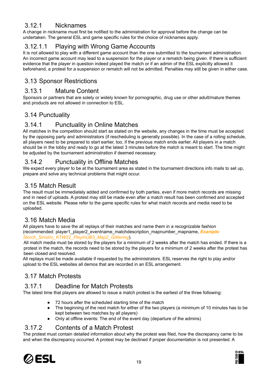## <span id="page-18-0"></span>3.12.1 Nicknames

A change in nickname must first be notified to the administration for approval before the change can be undertaken. The general ESL and game specific rules for the choice of nicknames apply.

## <span id="page-18-1"></span>3.12.1.1 Playing with Wrong Game Accounts

It is not allowed to play with a different game account than the one submitted to the tournament administration. An incorrect game account may lead to a suspension for the player or a rematch being given. If there is sufficient evidence that the player in question indeed played the match or if an admin of the ESL explicitly allowed it beforehand, a protest for a suspension or rematch will not be admitted. Penalties may still be given in either case.

## <span id="page-18-2"></span>3.13 Sponsor Restrictions

#### <span id="page-18-3"></span>3.13.1 Mature Content

Sponsors or partners that are solely or widely known for pornographic, drug use or other adult/mature themes and products are not allowed in connection to ESL.

## <span id="page-18-4"></span>3.14 Punctuality

## <span id="page-18-5"></span>3.14.1 Punctuality in Online Matches

All matches in the competition should start as stated on the website, any changes in the time must be accepted by the opposing party and administrators (if rescheduling is generally possible). In the case of a rolling schedule, all players need to be prepared to start earlier, too, if the previous match ends earlier. All players in a match should be in the lobby and ready to go at the latest 3 minutes before the match is meant to start. The time might be adjusted by the tournament administration if deemed necessary.

## <span id="page-18-6"></span>3.14.2 Punctuality in Offline Matches

We expect every player to be at the tournament area as stated in the tournament directions info mails to set up, prepare and solve any technical problems that might occur.

## <span id="page-18-7"></span>3.15 Match Result

The result must be immediately added and confirmed by both parties, even if more match records are missing and in need of uploads. A protest may still be made even after a match result has been confirmed and accepted on the ESL website. Please refer to the game specific rules for what match records and media need to be uploaded.

## <span id="page-18-8"></span>3.16 Match Media

All players have to save the all replays of their matches and name them in a recognizable fashion (recommended: player1\_player2\_eventname\_matchdescription\_mapnumber\_mapname, *Example: Storch\_Sinistro\_KTW22\_PlayInUB3\_Map2\_Glittering*).

All match media must be stored by the players for a minimum of 2 weeks after the match has ended. If there is a protest in the match, the records need to be stored by the players for a minimum of 2 weeks after the protest has been closed and resolved.

All replays must be made available if requested by the administrators. ESL reserves the right to play and/or upload to the ESL websites all demos that are recorded in an ESL arrangement.

## <span id="page-18-9"></span>3.17 Match Protests

## <span id="page-18-10"></span>3.17.1 Deadline for Match Protests

The latest time that players are allowed to issue a match protest is the earliest of the three following:

- 72 hours after the scheduled starting time of the match
- The beginning of the next match for either of the two players (a minimum of 10 minutes has to be kept between two matches by all players)
- Only at offline events: The end of the event day (departure of the admins)

## <span id="page-18-11"></span>3.17.2 Contents of a Match Protest

The protest must contain detailed information about why the protest was filed, how the discrepancy came to be and when the discrepancy occurred. A protest may be declined if proper documentation is not presented. A



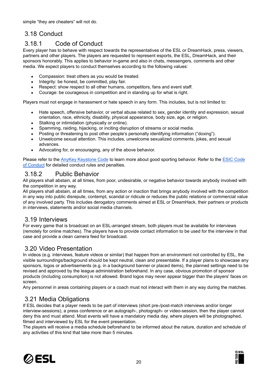simple "they are cheaters" will not do.

# <span id="page-19-0"></span>3.18 Conduct

## <span id="page-19-1"></span>3.18.1 Code of Conduct

Every player has to behave with respect towards the representatives of the ESL or DreamHack, press, viewers, partners and other players. The players are requested to represent esports, the ESL, DreamHack, and their sponsors honorably. This applies to behavior in-game and also in chats, messengers, comments and other media. We expect players to conduct themselves according to the following values:

- Compassion: treat others as you would be treated.
- Integrity: be honest, be committed, play fair.
- Respect: show respect to all other humans, competitors, fans and event staff.
- Courage: be courageous in competition and in standing up for what is right.

Players must not engage in harassment or hate speech in any form. This includes, but is not limited to:

- Hate speech, offensive behavior, or verbal abuse related to sex, gender identity and expression, sexual orientation, race, ethnicity, disability, physical appearance, body size, age, or religion.
- Stalking or intimidation (physically or online).
- Spamming, raiding, hijacking, or inciting disruption of streams or social media.
- Posting or threatening to post other people's personally identifying information ("doxing").
- Unwelcome sexual attention. This includes, unwelcome sexualized comments, jokes, and sexual advances.
- Advocating for, or encouraging, any of the above behavior.

Please refer to the **AnyKey [Keystone](http://www.anykey.org/keystone-code/) [Code](https://esic.gg/codes/code-of-conduct/)** to learn more about good sporting behavior. Refer to the **ESIC Code** of [Conduct](https://esic.gg/codes/code-of-conduct/) for detailed conduct rules and penalties.

#### <span id="page-19-2"></span>3.18.2 Public Behavior

All players shall abstain, at all times, from poor, undesirable, or negative behavior towards anybody involved with the competition in any way.

All players shall abstain, at all times, from any action or inaction that brings anybody involved with the competition in any way into public disrepute, contempt, scandal or ridicule or reduces the public relations or commercial value of any involved party. This includes derogatory comments aimed at ESL or DreamHack, their partners or products in interviews, statements and/or social media channels.

#### <span id="page-19-3"></span>3.19 Interviews

For every game that is broadcast on an ESL-arranged stream, both players must be available for interviews (remotely for online matches). The players have to provide contact information to be used for the interview in that case and provide a clean camera feed for broadcast.

## <span id="page-19-4"></span>3.20 Video Presentation

In videos (e.g. interviews, feature videos or similar) that happen from an environment not controlled by ESL, the visible surroundings/background should be kept neutral, clean and presentable. If a player plans to showcase any sponsors, logos or advertisements (e.g. in a background banner or placed items), the planned settings need to be revised and approved by the league administration beforehand. In any case, obvious promotion of sponsor products (including consumption) is not allowed. Brand logos may never appear bigger than the players' faces on screen.

<span id="page-19-5"></span>Any personnel in areas containing players or a coach must not interact with them in any way during the matches.

## 3.21 Media Obligations

If ESL decides that a player needs to be part of interviews (short pre-/post-match interviews and/or longer interview-sessions), a press conference or an autograph-, photograph- or video-session, then the player cannot deny this and must attend. Most events will have a mandatory media day, where players will be photographed, filmed and interviewed by ESL for the event presentation.

The players will receive a media schedule beforehand to be informed about the nature, duration and schedule of any activities of this kind that take more than 5 minutes.



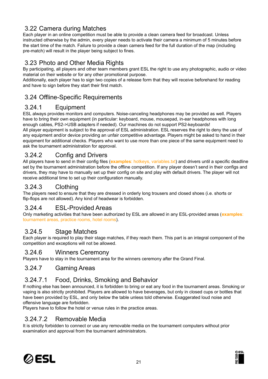## <span id="page-20-0"></span>3.22 Camera during Matches

Each player in an online competition must be able to provide a clean camera feed for broadcast. Unless instructed otherwise by the admin, every player needs to activate their camera a minimum of 5 minutes before the start time of the match. Failure to provide a clean camera feed for the full duration of the map (including pre-match) will result in the player being subject to fines.

## <span id="page-20-1"></span>3.23 Photo and Other Media Rights

By participating, all players and other team members grant ESL the right to use any photographic, audio or video material on their website or for any other promotional purpose.

Additionally, each player has to sign two copies of a release form that they will receive beforehand for reading and have to sign before they start their first match.

## <span id="page-20-2"></span>3.24 Offline-Specific Requirements

## <span id="page-20-3"></span>3.24.1 Equipment

ESL always provides monitors and computers. Noise-canceling headphones may be provided as well. Players have to bring their own equipment (in particular: keyboard, mouse, mousepad, in-ear headphones with long enough cables, PS2->USB adapters if needed). Our machines do not support PS2-keyboards! All player equipment is subject to the approval of ESL administration. ESL reserves the right to deny the use of any equipment and/or device providing an unfair competitive advantage. Players might be asked to hand in their equipment for additional checks. Players who want to use more than one piece of the same equipment need to ask the tournament administration for approval.

## <span id="page-20-4"></span>3.24.2 Config and Drivers

All players have to send in their config files (**examples**: hotkeys, variables.txt) and drivers until a specific deadline set by the tournament administration before the offline competition. If any player doesn't send in their configs and drivers, they may have to manually set up their config on site and play with default drivers. The player will not receive additional time to set up their configuration manually.

## <span id="page-20-5"></span>3.24.3 Clothing

The players need to ensure that they are dressed in orderly long trousers and closed shoes (i.e. shorts or flip-flops are not allowed). Any kind of headwear is forbidden.

## <span id="page-20-6"></span>3.24.4 ESL-Provided Areas

Only marketing activities that have been authorized by ESL are allowed in any ESL-provided areas (**examples**: tournament areas, practice rooms, hotel rooms).

## <span id="page-20-7"></span>3.24.5 Stage Matches

Each player is required to play their stage matches, if they reach them. This part is an integral component of the competition and exceptions will not be allowed.

#### <span id="page-20-8"></span>3.24.6 Winners Ceremony

Players have to stay in the tournament area for the winners ceremony after the Grand Final.

#### <span id="page-20-9"></span>3.24.7 Gaming Areas

## <span id="page-20-10"></span>3.24.7.1 Food, Drinks, Smoking and Behavior

If nothing else has been announced, it is forbidden to bring or eat any food in the tournament areas. Smoking or vaping is also strictly prohibited. Players are allowed to have beverages, but only in closed cups or bottles that have been provided by ESL, and only below the table unless told otherwise. Exaggerated loud noise and offensive language are forbidden.

Players have to follow the hotel or venue rules in the practice areas.

## <span id="page-20-11"></span>3.24.7.2 Removable Media

It is strictly forbidden to connect or use any removable media on the tournament computers without prior examination and approval from the tournament administrators.



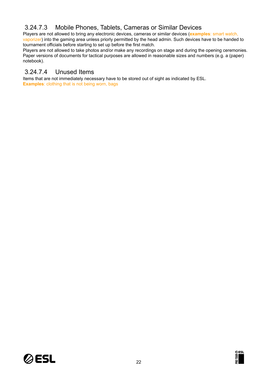## <span id="page-21-0"></span>3.24.7.3 Mobile Phones, Tablets, Cameras or Similar Devices

Players are not allowed to bring any electronic devices, cameras or similar devices (**examples**: smart watch, vaporizer) into the gaming area unless priorly permitted by the head admin. Such devices have to be handed to tournament officials before starting to set up before the first match.

Players are not allowed to take photos and/or make any recordings on stage and during the opening ceremonies. Paper versions of documents for tactical purposes are allowed in reasonable sizes and numbers (e.g. a (paper) notebook).

## <span id="page-21-1"></span>3.24.7.4 Unused Items

Items that are not immediately necessary have to be stored out of sight as indicated by ESL. **Examples**: clothing that is not being worn, bags



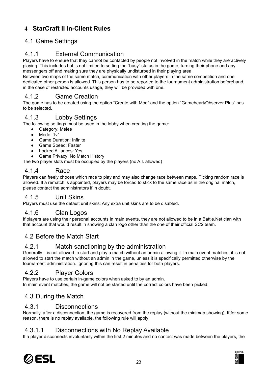# <span id="page-22-0"></span>**4 StarCraft II In-Client Rules**

## <span id="page-22-1"></span>4.1 Game Settings

## <span id="page-22-2"></span>4.1.1 External Communication

Players have to ensure that they cannot be contacted by people not involved in the match while they are actively playing. This includes but is not limited to setting the "busy" status in the game, turning their phone and any messengers off and making sure they are physically undisturbed in their playing area.

Between two maps of the same match, communication with other players in the same competition and one dedicated other person is allowed. This person has to be reported to the tournament administration beforehand, in the case of restricted accounts usage, they will be provided with one.

#### <span id="page-22-3"></span>4.1.2 Game Creation

The game has to be created using the option "Create with Mod" and the option "Gameheart/Observer Plus" has to be selected.

#### <span id="page-22-4"></span>4.1.3 Lobby Settings

The following settings must be used in the lobby when creating the game:

- Category: Melee
- Mode: 1v1
- **Game Duration: Infinite**
- Game Speed: Faster
- Locked Alliances: Yes
- Game Privacy: No Match History

The two player slots must be occupied by the players (no A.I. allowed)

#### <span id="page-22-5"></span>4.1.4 Race

Players can freely choose which race to play and may also change race between maps. Picking random race is allowed. If a rematch is appointed, players may be forced to stick to the same race as in the original match, please contact the administrators if in doubt.

#### <span id="page-22-6"></span>4.1.5 Unit Skins

Players must use the default unit skins. Any extra unit skins are to be disabled.

#### <span id="page-22-7"></span>4.1.6 Clan Logos

If players are using their personal accounts in main events, they are not allowed to be in a Battle.Net clan with that account that would result in showing a clan logo other than the one of their official SC2 team.

#### <span id="page-22-8"></span>4.2 Before the Match Start

#### <span id="page-22-9"></span>4.2.1 Match sanctioning by the administration

Generally it is not allowed to start and play a match without an admin allowing it. In main event matches, it is not allowed to start the match without an admin in the game, unless it is specifically permitted otherwise by the tournament administration. Ignoring this can result in penalties for both players.

#### <span id="page-22-10"></span>4.2.2 Player Colors

Players have to use certain in-game colors when asked to by an admin. In main event matches, the game will not be started until the correct colors have been picked.

## <span id="page-22-11"></span>4.3 During the Match

#### <span id="page-22-12"></span>4.3.1 Disconnections

Normally, after a disconnection, the game is recovered from the replay (without the minimap showing). If for some reason, there is no replay available, the following rule will apply:

#### <span id="page-22-13"></span>4.3.1.1 Disconnections with No Replay Available

If a player disconnects involuntarily within the first 2 minutes and no contact was made between the players, the



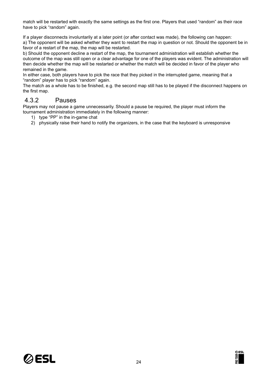match will be restarted with exactly the same settings as the first one. Players that used "random" as their race have to pick "random" again.

If a player disconnects involuntarily at a later point (or after contact was made), the following can happen: a) The opponent will be asked whether they want to restart the map in question or not. Should the opponent be in favor of a restart of the map, the map will be restarted.

b) Should the opponent decline a restart of the map, the tournament administration will establish whether the outcome of the map was still open or a clear advantage for one of the players was evident. The administration will then decide whether the map will be restarted or whether the match will be decided in favor of the player who remained in the game.

In either case, both players have to pick the race that they picked in the interrupted game, meaning that a "random" player has to pick "random" again.

The match as a whole has to be finished, e.g. the second map still has to be played if the disconnect happens on the first map.

## <span id="page-23-0"></span>4.3.2 Pauses

Players may not pause a game unnecessarily. Should a pause be required, the player must inform the tournament administration immediately in the following manner:

- 1) type "PP" in the in-game chat
- 2) physically raise their hand to notify the organizers, in the case that the keyboard is unresponsive



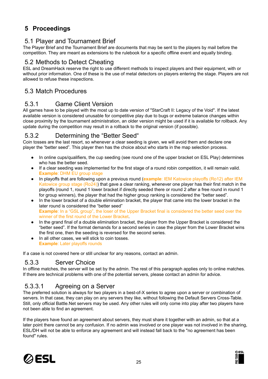# <span id="page-24-0"></span>**5 Proceedings**

## <span id="page-24-1"></span>5.1 Player and Tournament Brief

The Player Brief and the Tournament Brief are documents that may be sent to the players by mail before the competition. They are meant as extensions to the rulebook for a specific offline event and equally binding.

#### <span id="page-24-2"></span>5.2 Methods to Detect Cheating

ESL and DreamHack reserve the right to use different methods to inspect players and their equipment, with or without prior information. One of these is the use of metal detectors on players entering the stage. Players are not allowed to refuse these inspections.

## <span id="page-24-3"></span>5.3 Match Procedures

## <span id="page-24-4"></span>5.3.1 Game Client Version

All games have to be played with the most up to date version of "StarCraft II: Legacy of the Void". If the latest available version is considered unusable for competitive play due to bugs or extreme balance changes within close proximity by the tournament administration, an older version might be used if it is available for rollback. Any update during the competition may result in a rollback to the original version (if possible).

## <span id="page-24-5"></span>5.3.2 Determining the "Better Seed"

Coin tosses are the last resort, so whenever a clear seeding is given, we will avoid them and declare one player the "better seed". This player then has the choice about who starts in the map selection process.

- In online cups/qualifiers, the cup seeding (see round one of the upper bracket on ESL Play) determines who has the better seed.
- If a clear seeding was implemented for the first stage of a round robin competition, it will remain valid. **Example**: DHM EU group stage
- In playoffs that are following upon a previous round (**example**: IEM Katowice playoffs (Ro12) after IEM Katowice group stage (Ro24)) that gave a clear ranking, whenever one player has their first match in the playoffs (round 1, round 1 lower bracket if directly seeded there or round 2 after a free round in round 1 for group winners), the player that had the higher group ranking is considered the "better seed".
- In the lower bracket of a double elimination bracket, the player that came into the lower bracket in the later round is considered the "better seed" **Example**: In a "GSL group", the loser of the Upper Bracket final is considered the better seed over the winner of the first round of the Lower Bracket.
- In the grand final of a double elimination bracket, the player from the Upper Bracket is considered the "better seed". If the format demands for a second series in case the player from the Lower Bracket wins the first one, then the seeding is reversed for the second series.
- In all other cases, we will stick to coin tosses. **Example**: Later playoffs rounds

If a case is not covered here or still unclear for any reasons, contact an admin.

## <span id="page-24-6"></span>5.3.3 Server Choice

In offline matches, the server will be set by the admin. The rest of this paragraph applies only to online matches. If there are technical problems with one of the potential servers, please contact an admin for advice.

## <span id="page-24-7"></span>5.3.3.1 Agreeing on a Server

The preferred solution is always for two players in a best-of-X series to agree upon a server or combination of servers. In that case, they can play on any servers they like, without following the Default Servers Cross-Table. Still, only official Battle.Net servers may be used. Any other rules will only come into play after two players have not been able to find an agreement.

If the players have found an agreement about servers, they must share it together with an admin, so that at a later point there cannot be any confusion. If no admin was involved or one player was not involved in the sharing, ESL/DH will not be able to enforce any agreement and will instead fall back to the "no agreement has been found" rules.



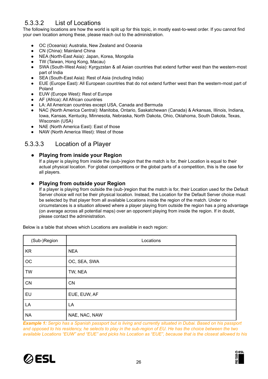# <span id="page-25-0"></span>5.3.3.2 List of Locations

The following locations are how the world is split up for this topic, in mostly east-to-west order. If you cannot find your own location among these, please reach out to the administration.

- OC (Oceania): Australia, New Zealand and Oceania
- CN (China): Mainland China
- NEA (North-East Asia): Japan, Korea, Mongolia
- TW (Taiwan, Hong Kong, Macau)
- SWA (South-West Asia): Kyrgyzstan & all Asian countries that extend further west than the western-most part of India
- SEA (South-East Asia): Rest of Asia (including India)
- EUE (Europe East): All European countries that do not extend further west than the western-most part of Poland
- EUW (Europe West): Rest of Europe
- AF (Africa): All African countries
- LA: All American countries except USA, Canada and Bermuda
- NAC (North America Central): Manitoba, Ontario, Saskatchewan (Canada) & Arkansas, Illinois, Indiana, Iowa, Kansas, Kentucky, Minnesota, Nebraska, North Dakota, Ohio, Oklahoma, South Dakota, Texas, Wisconsin (USA)
- NAE (North America East): East of those
- NAW (North America West): West of those

## <span id="page-25-2"></span><span id="page-25-1"></span>5.3.3.3 Location of a Player

#### **● Playing from inside your Region**

If a player is playing from inside the (sub-)region that the match is for, their Location is equal to their actual physical location. For global competitions or the global parts of a competition, this is the case for all players.

#### <span id="page-25-3"></span>**● Playing from outside your Region**

If a player is playing from outside the (sub-)region that the match is for, their Location used for the Default Server choice will not be their physical location. Instead, the Location for the Default Server choice must be selected by that player from all available Locations inside the region of the match. Under no circumstances is a situation allowed where a player playing from outside the region has a ping advantage (on average across all potential maps) over an opponent playing from inside the region. If in doubt, please contact the administration.

| (Sub-)Region | Locations     |
|--------------|---------------|
| <b>KR</b>    | <b>NEA</b>    |
| OC           | OC, SEA, SWA  |
| <b>TW</b>    | TW, NEA       |
| CN           | CN            |
| EU           | EUE, EUW, AF  |
| LA           | LA            |
| <b>NA</b>    | NAE, NAC, NAW |

Below is a table that shows which Locations are available in each region:

**Example 1:** Sergio has a Spanish passport but is living and currently situated in Dubai. Based on his passport and opposed to his residency, he selects to play in the sub-region of EU. He has the choice between the two available Locations "EUW" and "EUE" and picks his Location as "EUE", because that is the closest allowed to his



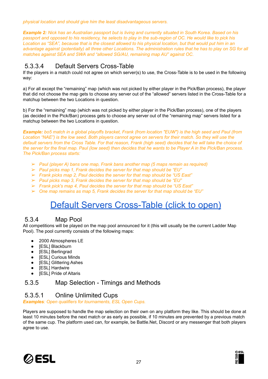*physical location and should give him the least disadvantageous servers.*

**Example 2:** Nick has an Australian passport but is living and currently situated in South Korea. Based on his passport and opposed to his residency, he selects to play in the sub-region of OC. He would like to pick his Location as "SEA", because that is the closest allowed to his physical location, but that would put him in an advantage against (potentially) all three other Locations. The administration rules that he has to play on SG for all *matches against SEA and SWA and "allowed SG/AU, remaining map AU" against OC.*

## <span id="page-26-0"></span>5.3.3.4 Default Servers Cross-Table

If the players in a match could not agree on which server(s) to use, the Cross-Table is to be used in the following way:

a) For all except the "remaining" map (which was not picked by either player in the Pick/Ban process), the player that did not choose the map gets to choose any server out of the "allowed" servers listed in the Cross-Table for a matchup between the two Locations in question.

b) For the "remaining" map (which was not picked by either player in the Pick/Ban process), one of the players (as decided in the Pick/Ban) process gets to choose any server out of the "remaining map" servers listed for a matchup between the two Locations in question.

Example: bo5 match in a global playoffs bracket, Frank (from location "EUW") is the high seed and Paul (from Location "NAE") is the low seed. Both players cannot agree on servers for their match. So they will use the default servers from the Cross Table. For that reason, Frank (high seed) decides that he will take the choice of the server for the final map. Paul (low seed) then decides that he wants to be Player A in the Pick/Ban process. *The Pick/Ban process starts:*

- ➢ *Paul (player A) bans one map, Frank bans another map (5 maps remain as required)*
- ➢ *Paul picks map 1, Frank decides the server for that map should be "EU"*
- ➢ *Frank picks map 2, Paul decides the server for that map should be "US East"*
- ➢ *Paul picks map 3, Frank decides the server for that map should be "EU"*
- ➢ *Frank pick's map 4, Paul decides the server for that map should be "US East"*
- ➢ *One map remains as map 5, Frank decides the server for that map should be "EU"*

# Default Servers [Cross-Table](https://docs.google.com/spreadsheets/d/1HL4Rdu8a-sM1hcypIODRtuPSxXdbIUTXPMJUvFMe1EQ) (click to open)

#### <span id="page-26-1"></span>5.3.4 Map Pool

All competitions will be played on the map pool announced for it (this will usually be the current Ladder Map Pool). The pool currently consists of the following maps:

- 2000 Atmospheres LE
- [ESL] Blackburn
- [ESL] Berlingrad
- [ESL] Curious Minds
- [ESL] Glittering Ashes
- [ESL] Hardwire
- [ESL] Pride of Altaris

#### <span id="page-26-3"></span><span id="page-26-2"></span>5.3.5 Map Selection - Timings and Methods

#### 5.3.5.1 Online Unlimited Cups

*Examples: Open qualifiers for tournaments, ESL Open Cups.*

Players are supposed to handle the map selection on their own on any platform they like. This should be done at least 10 minutes before the next match or as early as possible, if 10 minutes are prevented by a previous match of the same cup. The platform used can, for example, be Battle.Net, Discord or any messenger that both players agree to use.



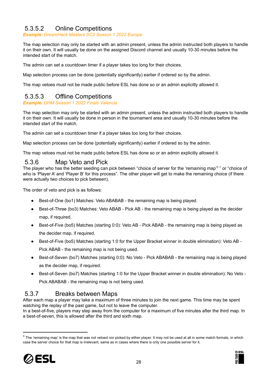## <span id="page-27-0"></span>5.3.5.2 Online Competitions

*Example: DreamHack Masters SC2 Season 1 2022 Europe*

The map selection may only be started with an admin present, unless the admin instructed both players to handle it on their own. It will usually be done on the assigned Discord channel and usually 10-30 minutes before the intended start of the match.

The admin can set a countdown timer if a player takes too long for their choices.

Map selection process can be done (potentially significantly) earlier if ordered so by the admin.

<span id="page-27-1"></span>The map vetoes must not be made public before ESL has done so or an admin explicitly allowed it.

## 5.3.5.3 Offline Competitions

*Example: DHM Season 1 2022 Finals Valencia*

The map selection may only be started with an admin present, unless the admin instructed both players to handle it on their own. It will usually be done in person in the tournament area and usually 10-30 minutes before the intended start of the match.

The admin can set a countdown timer if a player takes too long for their choices.

Map selection process can be done (potentially significantly) earlier if ordered so by the admin.

The map vetoes must not be made public before ESL has done so or an admin explicitly allowed it.

#### <span id="page-27-2"></span>5.3.6 Map Veto and Pick

The player who has the better seeding can pick between "choice of server for the 'remaining map'<sup>3</sup>" or "choice of who is 'Player A' and 'Player B' for this process". The other player will get to make the remaining choice (if there were actually two choices to pick between).

The order of veto and pick is as follows:

- Best-of-One (bo1) Matches: Veto ABABAB the remaining map is being played.
- Best-of-Three (bo3) Matches: Veto ABAB Pick AB the remaining map is being played as the decider map, if required.
- Best-of-Five (bo5) Matches (starting 0:0): Veto AB Pick ABAB the remaining map is being played as the decider map, if required.
- Best-of-Five (bo5) Matches (starting 1:0 for the Upper Bracket winner in double elimination): Veto AB -Pick ABAB - the remaining map is not being used.
- Best-of-Seven (bo7) Matches (starting 0:0): No Veto Pick ABABAB the remaining map is being played as the decider map, if required.
- Best-of-Seven (bo7) Matches (starting 1:0 for the Upper Bracket winner in double elimination): No Veto -Pick ABABAB - the remaining map is not being used.

## <span id="page-27-3"></span>5.3.7 Breaks between Maps

After each map a player may take a maximum of three minutes to join the next game. This time may be spent watching the replay of the past game, but not to leave the computer.

In a best-of-five, players may step away from the computer for a maximum of five minutes after the third map. In a best-of-seven, this is allowed after the third and sixth map.

 $3$  The 'remaining map' is the map that was not vetoed nor picked by either player. It may not be used at all in some match formats, in which case the server choice for that map is irrelevant, same as in cases where there is only one possible server for it.



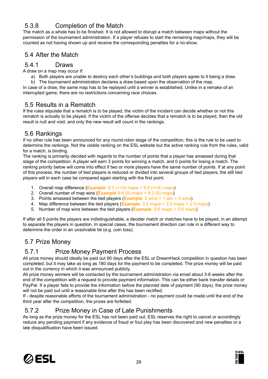# <span id="page-28-0"></span>5.3.8 Completion of the Match

The match as a whole has to be finished. It is not allowed to disrupt a match between maps without the permission of the tournament administration. If a player refuses to start the remaining map/maps, they will be counted as not having shown up and receive the corresponding penalties for a no-show.

## <span id="page-28-1"></span>5.4 After the Match

#### <span id="page-28-2"></span>5.4.1 Draws

A draw on a map may occur if:

a) Both players are unable to destroy each other's buildings and both players agree to it being a draw.

b) The tournament administration declares a draw based upon the observation of the map. In case of a draw, the same map has to be replayed until a winner is established. Unlike in a remake of an interrupted game, there are no restrictions concerning race choices.

## <span id="page-28-3"></span>5.5 Results in a Rematch

If the rules stipulate that a rematch is to be played, the victim of the incident can decide whether or not this rematch is actually to be played. If the victim of the offense decides that a rematch is to be played, then the old result is null and void, and only the new result will count in the rankings.

## <span id="page-28-4"></span>5.6 Rankings

If no other rule has been announced for any round-robin stage of the competition, this is the rule to be used to determine the rankings. Not the visible ranking on the ESL website but the active ranking rule from the rules, valid for a match, is binding.

The ranking is primarily decided with regards to the number of points that a player has amassed during that stage of the competition. A player will earn 3 points for winning a match, and 0 points for losing a match. The ranking priority below will come into effect if two or more players have the same number of points. If at any point of this process, the number of tied players is reduced or divided into several groups of tied players, the still tied players will in each case be compared again starting with the first point.

- 1. Overall map difference (**Example**: 8:3 (=+5) maps > 9:5 (=+4) maps)
- 2. Overall number of map wins (**Example** 9:4 (9) maps > 8:3 (8) maps)
- 3. Points amassed between the tied players (**Example**: 2 wins > 1 win > 0 wins)
- 4. Map difference between the tied players (**Example**: 3:2 maps > 3:3 maps > 2:3 maps)
- 5. Number of map wins between the tied players (**Example**: 6:6 maps > 5:5 maps)

If after all 5 points the players are indistinguishable, a decider match or matches have to be played, in an attempt to separate the players in question. In special cases, the tournament direction can rule in a different way to determine the order in an unsolvable tie (e.g. coin toss).

## <span id="page-28-5"></span>5.7 Prize Money

## <span id="page-28-6"></span>5.7.1 Prize Money Payment Process

All prize money should ideally be paid out 90 days after the ESL or DreamHack competition in question has been completed, but it may take as long as 180 days for the payment to be completed. The prize money will be paid out in the currency in which it was announced publicly.

All prize money winners will be contacted by the tournament administration via email about 3-6 weeks after the end of the competition with a request to provide payment information. This can be either bank transfer details or PayPal. If a player fails to provide the information before the planned date of payment (90 days), the prize money will not be paid out until a reasonable time after this has been rectified.

If - despite reasonable efforts of the tournament administration - no payment could be made until the end of the third year after the competition, the prizes are forfeited.

## <span id="page-28-7"></span>5.7.2 Prize Money in Case of Late Punishments

As long as the prize money for the ESL has not been paid out, ESL reserves the right to cancel or accordingly reduce any pending payment if any evidence of fraud or foul play has been discovered and new penalties or a late disqualification have been issued.



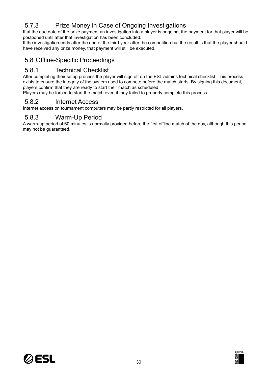# <span id="page-29-0"></span>5.7.3 Prize Money in Case of Ongoing Investigations

If at the due date of the prize payment an investigation into a player is ongoing, the payment for that player will be postponed until after that investigation has been concluded.

If the investigation ends after the end of the third year after the competition but the result is that the player should have received any prize money, that payment will still be executed.

## <span id="page-29-1"></span>5.8 Offline-Specific Proceedings

#### <span id="page-29-2"></span>5.8.1 Technical Checklist

After completing their setup process the player will sign off on the ESL admins technical checklist. This process exists to ensure the integrity of the system used to compete before the match starts. By signing this document, players confirm that they are ready to start their match as scheduled.

Players may be forced to start the match even if they failed to properly complete this process.

#### <span id="page-29-3"></span>5.8.2 Internet Access

Internet access on tournament computers may be partly restricted for all players.

#### <span id="page-29-4"></span>5.8.3 Warm-Up Period

A warm-up period of 60 minutes is normally provided before the first offline match of the day, although this period may not be guaranteed.



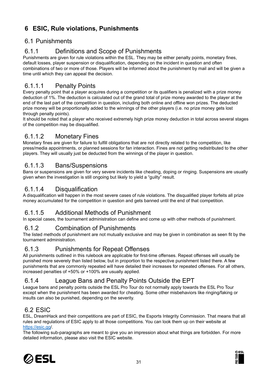# <span id="page-30-0"></span>**6 ESIC, Rule violations, Punishments**

## <span id="page-30-1"></span>6.1 Punishments

## <span id="page-30-2"></span>6.1.1 Definitions and Scope of Punishments

Punishments are given for rule violations within the ESL. They may be either penalty points, monetary fines, default losses, player suspension or disqualification, depending on the incident in question and often combinations of two or more of those. Players will be informed about the punishment by mail and will be given a time until which they can appeal the decision.

## <span id="page-30-3"></span>6.1.1.1 Penalty Points

Every penalty point that a player acquires during a competition or its qualifiers is penalized with a prize money deduction of 1%. The deduction is calculated out of the grand total of prize money awarded to the player at the end of the last part of the competition in question, including both online and offline won prizes. The deducted prize money will be proportionally added to the winnings of the other players (i.e. no prize money gets lost through penalty points).

It should be noted that a player who received extremely high prize money deduction in total across several stages of the competition may be disqualified.

## <span id="page-30-4"></span>6.1.1.2 Monetary Fines

Monetary fines are given for failure to fulfill obligations that are not directly related to the competition, like press/media appointments, or planned sessions for fan interaction. Fines are not getting redistributed to the other players. They will usually just be deducted from the winnings of the player in question.

## <span id="page-30-5"></span>6.1.1.3 Bans/Suspensions

Bans or suspensions are given for very severe incidents like cheating, doping or ringing. Suspensions are usually given when the investigation is still ongoing but likely to yield a "guilty" result.

## <span id="page-30-6"></span>6.1.1.4 Disqualification

A disqualification will happen in the most severe cases of rule violations. The disqualified player forfeits all prize money accumulated for the competition in question and gets banned until the end of that competition.

## <span id="page-30-7"></span>6.1.1.5 Additional Methods of Punishment

In special cases, the tournament administration can define and come up with other methods of punishment.

#### <span id="page-30-8"></span>6.1.2 Combination of Punishments

The listed methods of punishment are not mutually exclusive and may be given in combination as seen fit by the tournament administration.

## <span id="page-30-9"></span>6.1.3 Punishments for Repeat Offenses

All punishments outlined in this rulebook are applicable for first-time offenses. Repeat offenses will usually be punished more severely than listed below, but in proportion to the respective punishment listed there. A few punishments that are commonly repeated will have detailed their increases for repeated offenses. For all others, increased penalties of +50% or +100% are usually applied.

## <span id="page-30-10"></span>6.1.4 League Bans and Penalty Points Outside the EPT

League bans and penalty points outside the ESL Pro Tour do not normally apply towards the ESL Pro Tour except when the punishment has been awarded for cheating. Some other misbehaviors like ringing/faking or insults can also be punished, depending on the severity.

## <span id="page-30-11"></span>6.2 ESIC

ESL, DreamHack and their competitions are part of ESIC, the Esports Integrity Commission. That means that all rules and regulations of ESIC apply to all those competitions. You can look them up on their website at <https://esic.gg/>.

The following sub-paragraphs are meant to give you an impression about what things are forbidden. For more detailed information, please also visit the ESIC website.



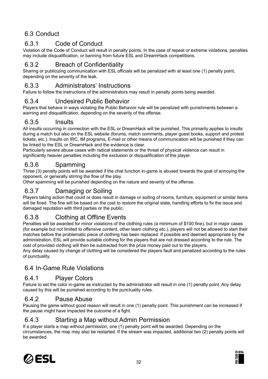# <span id="page-31-0"></span>6.3 Conduct

## <span id="page-31-1"></span>6.3.1 Code of Conduct

Violation of the Code of Conduct will result in penalty points. In the case of repeat or extreme violations, penalties may include disqualification, or banning from future ESL and DreamHack competitions.

## <span id="page-31-2"></span>6.3.2 Breach of Confidentiality

Sharing or publicizing communication with ESL officials will be penalized with at least one (1) penalty point, depending on the severity of the leak.

## <span id="page-31-3"></span>6.3.3 Administrators' Instructions

Failure to follow the instructions of the administrators may result in penalty points being awarded.

## <span id="page-31-4"></span>6.3.4 Undesired Public Behavior

Players that behave in ways violating the Public Behavior rule will be penalized with punishments between a warning and disqualification, depending on the severity of the offense.

## <span id="page-31-5"></span>6.3.5 Insults

All insults occurring in connection with the ESL or DreamHack will be punished. This primarily applies to insults during a match but also on the ESL website (forums, match comments, player guest books, support and protest tickets, etc.). Insults on IRC, IM programs, E-mail or other means of communication will be punished if they can be linked to the ESL or DreamHack and the evidence is clear.

Particularly severe abuse cases with radical statements or the threat of physical violence can result in significantly heavier penalties including the exclusion or disqualification of the player.

## <span id="page-31-6"></span>6.3.6 Spamming

Three (3) penalty points will be awarded if the chat function in-game is abused towards the goal of annoying the opponent, or generally stirring the flow of the play.

Other spamming will be punished depending on the nature and severity of the offense.

## <span id="page-31-7"></span>6.3.7 Damaging or Soiling

Players taking action that could or does result in damage or soiling of rooms, furniture, equipment or similar items will be fined. The fine will be based on the cost to restore the original state, handling efforts to fix the issue and damaged reputation with third parties or the public.

## <span id="page-31-8"></span>6.3.8 Clothing at Offline Events

Penalties will be awarded for minor violations of the clothing rules (a minimum of \$100 fine), but in major cases (for example but not limited to offensive content, other team clothing etc.), players will not be allowed to start their matches before the problematic piece of clothing has been replaced. If possible and deemed appropriate by the administration, ESL will provide suitable clothing for the players that are not dressed according to the rule. The cost of provided clothing will then be subtracted from the prize money paid out to the players.

Any delay caused by change of clothing will be considered the players fault and penalized according to the rules of punctuality.

## <span id="page-31-9"></span>6.4 In-Game Rule Violations

#### <span id="page-31-10"></span>6.4.1 Player Colors

Failure to set the color in-game as instructed by the administrator will result in one (1) penalty point. Any delay caused by this will be punished according to the punctuality rules.

#### <span id="page-31-11"></span>6.4.2 Pause Abuse

Pausing the game without good reason will result in one (1) penalty point. This punishment can be increased if the pause might have impacted the outcome of a fight.

## <span id="page-31-12"></span>6.4.3 Starting a Map without Admin Permission

If a player starts a map without permission, one (1) penalty point will be awarded. Depending on the circumstances, the map may also be restarted. If the stream was impacted, additional two (2) penalty points will be awarded.



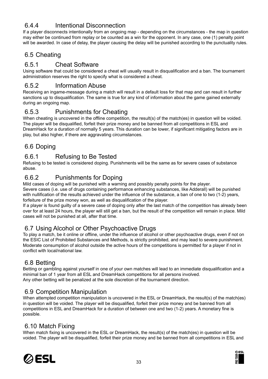## <span id="page-32-0"></span>6.4.4 Intentional Disconnection

If a player disconnects intentionally from an ongoing map - depending on the circumstances - the map in question may either be continued from replay or be counted as a win for the opponent. In any case, one (1) penalty point will be awarded. In case of delay, the player causing the delay will be punished according to the punctuality rules.

## <span id="page-32-1"></span>6.5 Cheating

## <span id="page-32-2"></span>6.5.1 Cheat Software

Using software that could be considered a cheat will usually result in disqualification and a ban. The tournament administration reserves the right to specify what is considered a cheat.

## <span id="page-32-3"></span>6.5.2 Information Abuse

Receiving an ingame-message during a match will result in a default loss for that map and can result in further sanctions up to disqualification. The same is true for any kind of information about the game gained externally during an ongoing map.

## <span id="page-32-4"></span>6.5.3 Punishments for Cheating

When cheating is uncovered in the offline competition, the result(s) of the match(es) in question will be voided. The player will be disqualified, forfeit their prize money and be banned from all competitions in ESL and DreamHack for a duration of normally 5 years. This duration can be lower, if significant mitigating factors are in play, but also higher, if there are aggravating circumstances.

## <span id="page-32-5"></span>6.6 Doping

## <span id="page-32-6"></span>6.6.1 Refusing to Be Tested

Refusing to be tested is considered doping. Punishments will be the same as for severe cases of substance abuse.

## <span id="page-32-7"></span>6.6.2 Punishments for Doping

Mild cases of doping will be punished with a warning and possibly penalty points for the player.

Severe cases (i.e. use of drugs containing performance enhancing substances, like Adderall) will be punished with nullification of the results achieved under the influence of the substance, a ban of one to two (1-2) years, forfeiture of the prize money won, as well as disqualification of the player.

If a player is found guilty of a severe case of doping only after the last match of the competition has already been over for at least 24 hours, the player will still get a ban, but the result of the competition will remain in place. Mild cases will not be punished at all, after that time.

## <span id="page-32-8"></span>6.7 Using Alcohol or Other Psychoactive Drugs

To play a match, be it online or offline, under the influence of alcohol or other psychoactive drugs, even if not on the ESIC List of Prohibited Substances and Methods, is strictly prohibited, and may lead to severe punishment. Moderate consumption of alcohol outside the active hours of the competitions is permitted for a player if not in conflict with local/national law.

## <span id="page-32-9"></span>6.8 Betting

Betting or gambling against yourself in one of your own matches will lead to an immediate disqualification and a minimal ban of 1 year from all ESL and DreamHack competitions for all persons involved. Any other betting will be penalized at the sole discretion of the tournament direction.

## <span id="page-32-10"></span>6.9 Competition Manipulation

When attempted competition manipulation is uncovered in the ESL or DreamHack, the result(s) of the match(es) in question will be voided. The player will be disqualified, forfeit their prize money and be banned from all competitions in ESL and DreamHack for a duration of between one and two (1-2) years. A monetary fine is possible.

#### <span id="page-32-11"></span>6.10 Match Fixing

When match fixing is uncovered in the ESL or DreamHack, the result(s) of the match(es) in question will be voided. The player will be disqualified, forfeit their prize money and be banned from all competitions in ESL and



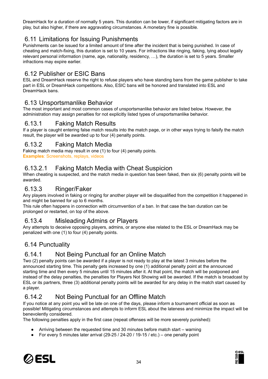DreamHack for a duration of normally 5 years. This duration can be lower, if significant mitigating factors are in play, but also higher, if there are aggravating circumstances. A monetary fine is possible.

## <span id="page-33-0"></span>6.11 Limitations for Issuing Punishments

Punishments can be issued for a limited amount of time after the incident that is being punished. In case of cheating and match-fixing, this duration is set to 10 years. For infractions like ringing, faking, lying about legally relevant personal information (name, age, nationality, residency, …), the duration is set to 5 years. Smaller infractions may expire earlier.

## <span id="page-33-1"></span>6.12 Publisher or ESIC Bans

ESL and DreamHack reserve the right to refuse players who have standing bans from the game publisher to take part in ESL or DreamHack competitions. Also, ESIC bans will be honored and translated into ESL and DreamHack bans.

#### <span id="page-33-2"></span>6.13 Unsportsmanlike Behavior

The most important and most common cases of unsportsmanlike behavior are listed below. However, the administration may assign penalties for not explicitly listed types of unsportsmanlike behavior.

## <span id="page-33-3"></span>6.13.1 Faking Match Results

If a player is caught entering false match results into the match page, or in other ways trying to falsify the match result, the player will be awarded up to four (4) penalty points.

## <span id="page-33-4"></span>6.13.2 Faking Match Media

Faking match media may result in one (1) to four (4) penalty points. **Examples**: Screenshots, replays, videos

## <span id="page-33-5"></span>6.13.2.1 Faking Match Media with Cheat Suspicion

When cheating is suspected, and the match media in question has been faked, then six (6) penalty points will be awarded.

#### <span id="page-33-6"></span>6.13.3 Ringer/Faker

Any players involved in faking or ringing for another player will be disqualified from the competition it happened in and might be banned for up to 6 months.

This rule often happens in connection with circumvention of a ban. In that case the ban duration can be prolonged or restarted, on top of the above.

#### <span id="page-33-7"></span>6.13.4 Misleading Admins or Players

Any attempts to deceive opposing players, admins, or anyone else related to the ESL or DreamHack may be penalized with one (1) to four (4) penalty points.

## <span id="page-33-8"></span>6.14 Punctuality

## <span id="page-33-9"></span>6.14.1 Not Being Punctual for an Online Match

Two (2) penalty points can be awarded if a player is not ready to play at the latest 3 minutes before the announced starting time. This penalty gets increased by one (1) additional penalty point at the announced starting time and then every 5 minutes until 15 minutes after it. At that point, the match will be postponed and instead of the delay penalties, the penalties for Players Not Showing will be awarded. If the match is broadcast by ESL or its partners, three (3) additional penalty points will be awarded for any delay in the match start caused by a player.

## <span id="page-33-10"></span>6.14.2 Not Being Punctual for an Offline Match

If you notice at any point you will be late on one of the days, please inform a tournament official as soon as possible! Mitigating circumstances and attempts to inform ESL about the lateness and minimize the impact will be benevolently considered.

The following penalties apply in the first case (repeat offenses will be more severely punished):

- Arriving between the requested time and 30 minutes before match start warning
- For every 5 minutes later arrival (29-25 / 24-20 / 19-15 / etc.) one penalty point



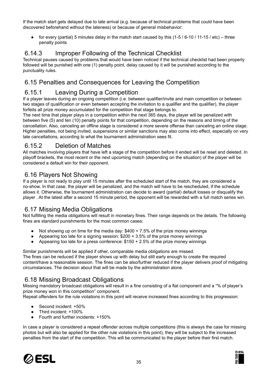If the match start gets delayed due to late arrival (e.g. because of technical problems that could have been discovered beforehand without the lateness) or because of general misbehavior:

• for every (partial) 5 minutes delay in the match start caused by this  $(1-5/6-10/11-15/etc)$  – three penalty points

## <span id="page-34-0"></span>6.14.3 Improper Following of the Technical Checklist

Technical pauses caused by problems that would have been noticed if the technical checklist had been properly followed will be punished with one (1) penalty point, delay caused by it will be punished according to the punctuality rules.

# <span id="page-34-1"></span>6.15 Penalties and Consequences for Leaving the Competition

## <span id="page-34-2"></span>6.15.1 Leaving During a Competition

If a player leaves during an ongoing competition (i.e. between qualifier/invite and main competition or between two stages of qualification or even between accepting the invitation to a qualifier and the qualifier), the player forfeits all prize money accumulated for the competition that stage belongs to.

The next time that player plays in a competition within the next 365 days, the player will be penalized with between five (5) and ten (10) penalty points for that competition, depending on the reasons and timing of the cancellation. Also, canceling an offline stage is considered a more severe offense than canceling an online stage. Higher penalties, not being invited, suspensions or similar sanctions may also come into effect, especially on very late cancellations, according to what the tournament administration sees fit.

## <span id="page-34-3"></span>6.15.2 Deletion of Matches

All matches involving players that have left a stage of the competition before it ended will be reset and deleted. In playoff brackets, the most recent or the next upcoming match (depending on the situation) of the player will be considered a default win for their opponent.

## <span id="page-34-4"></span>6.16 Players Not Showing

If a player is not ready to play until 15 minutes after the scheduled start of the match, they are considered a no-show. In that case, the player will be penalized, and the match will have to be rescheduled, if the schedule allows it. Otherwise, the tournament administration can decide to award (partial) default losses or disqualify the player . At the latest after a second 15 minute period, the opponent will be rewarded with a full match series win.

## <span id="page-34-5"></span>6.17 Missing Media Obligations

Not fulfilling the media obligations will result in monetary fines. Their range depends on the details. The following fines are standard punishments for the most common cases:

- Not showing up on time for the media day:  $$400 + 7.5\%$  of the prize money winnings
- Appearing too late for a signing session:  $$200 + 3.5\%$  of the prize money winnings
- Appearing too late for a press conference:  $$150 + 2.5\%$  of the prize money winnings

#### Similar punishments will be applied if other, comparable media obligations are missed.

The fines can be reduced if the player shows up with delay but still early enough to create the required content/have a reasonable session. The fines can be also/further reduced if the player delivers proof of mitigating circumstances. The decision about that will be made by the administration alone.

# <span id="page-34-6"></span>6.18 Missing Broadcast Obligations

Missing mandatory broadcast obligations will result in a fine consisting of a flat component and a "% of player's prize money won in this competition" component.

Repeat offenders for the rule violations in this point will receive increased fines according to this progression:

- Second incident: +50%
- Third incident: +100%
- Fourth and further incidents: +150%

In case a player is considered a repeat offender across multiple competitions (this is always the case for missing photos but will also be applied for the other rule violations in this point), they will be subject to the increased penalties from the start of the competition. This will be communicated to the player before their first match.



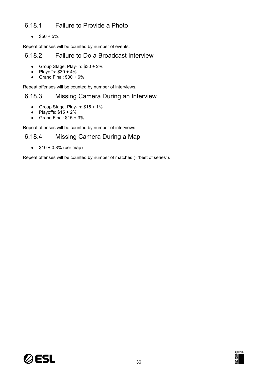## <span id="page-35-0"></span>6.18.1 Failure to Provide a Photo

 $\bullet$  \$50 + 5%.

Repeat offenses will be counted by number of events.

#### <span id="page-35-1"></span>6.18.2 Failure to Do a Broadcast Interview

- Group Stage, Play-In: \$30 + 2%
- $\bullet$  Playoffs:  $$30 + 4\%$
- $\bullet$  Grand Final:  $$30 + 6\%$

Repeat offenses will be counted by number of interviews.

#### <span id="page-35-2"></span>6.18.3 Missing Camera During an Interview

- Group Stage, Play-In: \$15 + 1%
- Playoffs:  $$15 + 2\%$
- $\bullet$  Grand Final:  $$15 + 3\%$

Repeat offenses will be counted by number of interviews.

#### <span id="page-35-3"></span>6.18.4 Missing Camera During a Map

•  $$10 + 0.8\%$  (per map)

Repeat offenses will be counted by number of matches (="best of series").



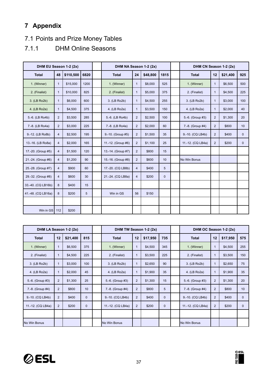# <span id="page-36-0"></span>**7 Appendix**

# <span id="page-36-1"></span>7.1 Points and Prize Money Tables

# <span id="page-36-2"></span>7.1.1 DHM Online Seasons

| DHM EU Season 1-2 (2x) |                |           |      | DHM NA Season 1-2 (2x) |                |          |             | DHM CN Season 1-2 (2x) |                |          |              |
|------------------------|----------------|-----------|------|------------------------|----------------|----------|-------------|------------------------|----------------|----------|--------------|
| <b>Total</b>           | 48             | \$110,500 | 6820 | <b>Total</b>           | 24             | \$48,800 | 1815        | <b>Total</b>           | 12             | \$21,400 | 925          |
| 1. (Winner)            | $\mathbf{1}$   | \$15,000  | 1200 | 1. (Winner)            | $\mathbf{1}$   | \$8,000  | 525         | 1. (Winner)            | $\mathbf{1}$   | \$6,500  | 500          |
| 2. (Finalist)          | $\mathbf{1}$   | \$10,000  | 825  | 2. (Finalist)          | $\mathbf{1}$   | \$5,000  | 375         | 2. (Finalist)          | $\mathbf{1}$   | \$4,500  | 225          |
| 3. (LB Ro2b)           | $\mathbf{1}$   | \$6,000   | 600  | 3. (LB Ro2b)           | $\mathbf{1}$   | \$4,500  | 255         | 3. (LB Ro2b)           | $\mathbf{1}$   | \$3,000  | 100          |
| 4. (LB Ro2a)           | $\mathbf{1}$   | \$4,500   | 375  | 4. (LB Ro2a)           | $\mathbf{1}$   | \$3,500  | 150         | 4. (LB Ro2a)           | $\mathbf{1}$   | \$2,000  | 40           |
| 5.-6. (LB Ro4b)        | $\overline{2}$ | \$3,500   | 285  | 5.-6. (LB Ro4b)        | 2              | \$2,500  | 100         | 5.-6. (Group #3)       | $\overline{2}$ | \$1,300  | 20           |
| 7.-8. (LB Ro4a)        | $\overline{2}$ | \$3,000   | 225  | 7.-8. (LB Ro4a)        | 2              | \$2,000  | 60          | 7.-8. (Group #4)       | $\overline{2}$ | \$800    | 10           |
| 9.-12. (LB Ro8b)       | $\overline{4}$ | \$2,500   | 195  | 9.-10. (Group #5)      | 2              | \$1,500  | 35          | 9.-10. (CQ LB4b)       | $\overline{2}$ | \$400    | $\mathbf 0$  |
| 13.-16. (LB Ro8a)      | $\overline{4}$ | \$2,000   | 165  | 11.-12. (Group #6)     | 2              | \$1,100  | 25          | 11.-12. (CQ LB4a)      | $\overline{2}$ | \$200    | $\mathbf{0}$ |
| 17.-20. (Group #5)     | $\overline{4}$ | \$1,500   | 120  | 13.-14. (Group #7)     | 2              | \$800    | 15          |                        |                |          |              |
| 21.-24. (Group #6)     | $\overline{4}$ | \$1,200   | 90   | 15.-16. (Group #8)     | $\overline{2}$ | \$600    | 10          | No Win Bonus           |                |          |              |
| 25.-28. (Group #7)     | $\overline{4}$ | \$900     | 60   | 17.-20. (CQ LB8b)      | $\overline{4}$ | \$400    | 5           |                        |                |          |              |
| 29.-32. (Group #8)     | $\overline{4}$ | \$600     | 30   | 21.-24. (CQ LB8a)      | $\overline{4}$ | \$200    | $\mathbf 0$ |                        |                |          |              |
| 33.-40. (CQ LB16b)     | 8              | \$400     | 15   |                        |                |          |             |                        |                |          |              |
| 41.-48. (CQ LB16a)     | 8              | \$200     | 5    | Win in GS              | 56             | \$150    |             |                        |                |          |              |
|                        |                |           |      |                        |                |          |             |                        |                |          |              |
| Win in GS              | 112            | \$200     |      |                        |                |          |             |                        |                |          |              |

| DHM LA Season 1-2 (2x) |                |          |              | DHM TW Season 1-2 (2x) |                |          |              | DHM OC Season 1-2 (2x) |    |          |              |
|------------------------|----------------|----------|--------------|------------------------|----------------|----------|--------------|------------------------|----|----------|--------------|
| <b>Total</b>           | 12             | \$21,400 | 815          | <b>Total</b>           | 12             | \$17,950 | 735          | <b>Total</b>           | 12 | \$17,950 | 575          |
| 1. (Winner)            | 1              | \$6,500  | 375          | 1. (Winner)            | $\mathbf{1}$   | \$4,500  | 345          | 1. (Winner)            | 1  | \$4,500  | 255          |
| 2. (Finalist)          |                | \$4,500  | 225          | 2. (Finalist)          | 1              | \$3,500  | 225          | 2. (Finalist)          | 1  | \$3,500  | 150          |
| 3. (LB Ro2b)           |                | \$3,000  | 100          | 3. (LB Ro2b)           | 1              | \$2,650  | 90           | 3. (LB Ro2b)           | 1  | \$2,650  | 75           |
| 4. (LB Ro2a)           |                | \$2,000  | 45           | 4. (LB Ro2a)           | 1              | \$1,900  | 35           | 4. (LB Ro2a)           |    | \$1,900  | 35           |
| 5.-6. (Group #3)       | 2              | \$1,300  | 25           | 5.-6. (Group #3)       | $\overline{2}$ | \$1,300  | 15           | 5.-6. (Group #3)       | 2  | \$1,300  | 20           |
| 7.-8. (Group #4)       | $\overline{2}$ | \$800    | 10           | 7.-8. (Group #4)       | $\overline{2}$ | \$800    | 5            | 7.-8. (Group #4)       | 2  | \$800    | 10           |
| 9.-10. (CQ LB4b)       | $\overline{2}$ | \$400    | $\mathbf{0}$ | 9.-10. (CQ LB4b)       | $\overline{2}$ | \$400    | $\mathbf{0}$ | 9.-10. (CQ LB4b)       | 2  | \$400    | $\mathbf{0}$ |
| 11.-12. (CQ LB4a)      | $\overline{2}$ | \$200    | $\mathbf{0}$ | 11.-12. (CQ LB4a)      | 2              | \$200    | $\mathbf{0}$ | 11.-12. (CQ LB4a)      | 2  | \$200    | $\mathbf{0}$ |
|                        |                |          |              |                        |                |          |              |                        |    |          |              |
| No Win Bonus           |                |          |              | No Win Bonus           |                |          |              | No Win Bonus           |    |          |              |



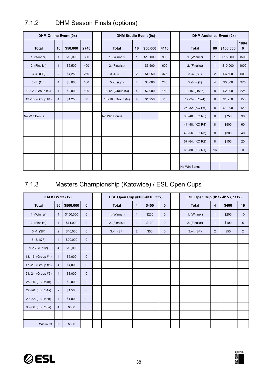| <b>DHM Online Event (0x)</b> |                |          |      | <b>DHM Studio Event (0x)</b> |                |          |      |  | <b>DHM Audience Event (2x)</b> |                |           |                      |
|------------------------------|----------------|----------|------|------------------------------|----------------|----------|------|--|--------------------------------|----------------|-----------|----------------------|
| <b>Total</b>                 | 16             | \$50,000 | 2740 | <b>Total</b>                 | 16             | \$50,000 | 4110 |  | <b>Total</b>                   | 80             | \$100,000 | 1084<br>$\mathbf{0}$ |
| 1. (Winner)                  | 1              | \$10,000 | 600  | 1. (Winner)                  | $\mathbf{1}$   | \$10,000 | 900  |  | 1. (Winner)                    | $\mathbf{1}$   | \$15,000  | 1500                 |
| 2. (Finalist)                | $\mathbf{1}$   | \$6,500  | 400  | 2. (Finalist)                | $\mathbf{1}$   | \$6,500  | 600  |  | 2. (Finalist)                  | $\mathbf{1}$   | \$10,000  | 1000                 |
| $3.-4. (SF)$                 | $\overline{2}$ | \$4,250  | 250  | $3.-4. (SF)$                 | $\overline{2}$ | \$4,250  | 375  |  | $3.-4. (SF)$                   | $\overline{2}$ | \$6,500   | 600                  |
| $5.-8. (QF)$                 | $\overline{4}$ | \$3,000  | 160  | $5.-8. (QF)$                 | $\overline{4}$ | \$3,000  | 240  |  | $5.-8. (QF)$                   | 4              | \$3,600   | 375                  |
| 9.-12. (Group #3)            | $\overline{4}$ | \$2,000  | 100  | 9.-12. (Group #3)            | $\overline{4}$ | \$2,000  | 150  |  | $9.-16. (Ro16)$                | 8              | \$2,000   | 225                  |
| 13.-16. (Group #4)           | $\overline{4}$ | \$1,250  | 50   | 13.-16. (Group #4)           | $\overline{4}$ | \$1,250  | 75   |  | 17.-24. (Ro24)                 | 8              | \$1,250   | 150                  |
|                              |                |          |      |                              |                |          |      |  | 25.-32. (KO R6)                | 8              | \$1,000   | 120                  |
| No Win Bonus                 |                |          |      | No Win Bonus                 |                |          |      |  | 33.-40. (KO R5)                | 8              | \$750     | 90                   |
|                              |                |          |      |                              |                |          |      |  | 41.-48. (KO R4)                | 8              | \$500     | 60                   |
|                              |                |          |      |                              |                |          |      |  | 49.-56. (KO R3)                | 8              | \$300     | 40                   |
|                              |                |          |      |                              |                |          |      |  | 57.-64. (KO R2)                | 8              | \$150     | 20                   |
|                              |                |          |      |                              |                |          |      |  | 65.-80. (KO R1)                | 16             |           | $\mathbf{0}$         |
|                              |                |          |      |                              |                |          |      |  |                                |                |           |                      |
|                              |                |          |      |                              |                |          |      |  | No Win Bonus                   |                |           |                      |

# <span id="page-37-0"></span>7.1.2 DHM Season Finals (options)

# <span id="page-37-1"></span>7.1.3 Masters Championship (Katowice) / ESL Open Cups

| <b>IEM KTW 23 (1x)</b> |                |           |              |  | ESL Open Cup (#106-#116, 33x) |                |       | ESL Open Cup (#117-#153, 111x) |               |                |       |                 |
|------------------------|----------------|-----------|--------------|--|-------------------------------|----------------|-------|--------------------------------|---------------|----------------|-------|-----------------|
| <b>Total</b>           | 36             | \$500,000 | $\mathbf{0}$ |  | <b>Total</b>                  | $\overline{4}$ | \$400 | $\mathbf 0$                    | <b>Total</b>  | 4              | \$400 | 19              |
| 1. (Winner)            | 1              | \$150,000 | $\mathbf{0}$ |  | 1. (Winner)                   | $\mathbf{1}$   | \$200 | $\mathbf 0$                    | 1. (Winner)   | $\mathbf{1}$   | \$200 | 10 <sup>°</sup> |
| 2. (Finalist)          | $\mathbf{1}$   | \$71,000  | $\mathbf{0}$ |  | 2. (Finalist)                 | $\mathbf{1}$   | \$100 | $\mathbf 0$                    | 2. (Finalist) | $\mathbf{1}$   | \$100 | 5               |
| $3.-4. (SF)$           | $\overline{2}$ | \$40,000  | $\mathbf{0}$ |  | $3.-4. (SF)$                  | $\overline{2}$ | \$50  | $\mathbf{0}$                   | $3.-4. (SF)$  | $\overline{2}$ | \$50  | $\overline{2}$  |
| $5.-8. (QF)$           | $\overline{4}$ | \$20,000  | $\mathbf 0$  |  |                               |                |       |                                |               |                |       |                 |
| $9.-12. (Ro12)$        | $\overline{4}$ | \$10,000  | $\mathbf{0}$ |  |                               |                |       |                                |               |                |       |                 |
| 13.-16. (Group #4)     | $\overline{4}$ | \$5,000   | $\mathbf 0$  |  |                               |                |       |                                |               |                |       |                 |
| 17.-20. (Group #5)     | $\overline{4}$ | \$4,000   | $\mathbf{0}$ |  |                               |                |       |                                |               |                |       |                 |
| 21.-24. (Group #6)     | $\overline{4}$ | \$3,000   | $\mathbf 0$  |  |                               |                |       |                                |               |                |       |                 |
| 25.-26. (LB Ro4b)      | $\overline{2}$ | \$2,000   | $\mathbf 0$  |  |                               |                |       |                                |               |                |       |                 |
| 27.-28. (LB Ro4a)      | $\overline{2}$ | \$1,500   | $\mathbf 0$  |  |                               |                |       |                                |               |                |       |                 |
| 29.-32. (LB Ro8b)      | $\overline{4}$ | \$1,000   | $\mathbf 0$  |  |                               |                |       |                                |               |                |       |                 |
| 33.-36. (LB Ro8a)      | $\overline{4}$ | \$500     | $\mathbf{0}$ |  |                               |                |       |                                |               |                |       |                 |
|                        |                |           |              |  |                               |                |       |                                |               |                |       |                 |
| Win in GS              | 60             | \$300     |              |  |                               |                |       |                                |               |                |       |                 |



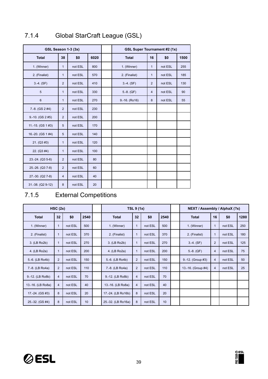| GSL Season 1-3 (3x) |                |         |      |  | <b>GSL Super Tournament #2 (1x)</b> |                |         |      |
|---------------------|----------------|---------|------|--|-------------------------------------|----------------|---------|------|
| <b>Total</b>        | 38             | \$0     | 6020 |  | <b>Total</b>                        | 16             | \$0     | 1500 |
| 1. (Winner)         | $\mathbf{1}$   | not ESL | 800  |  | 1. (Winner)                         | $\mathbf{1}$   | not ESL | 255  |
| 2. (Finalist)       | $\mathbf{1}$   | not ESL | 570  |  | 2. (Finalist)                       | 1              | not ESL | 185  |
| $3.-4. (SF)$        | 2              | not ESL | 410  |  | $3.-4. (SF)$                        | $\overline{2}$ | not ESL | 130  |
| 5                   | $\mathbf{1}$   | not ESL | 330  |  | $5.-8. (QF)$                        | $\overline{4}$ | not ESL | 90   |
| 6                   | $\mathbf{1}$   | not ESL | 270  |  | $9.-16. (Ro16)$                     | 8              | not ESL | 55   |
| $7.-8.$ (GS $2#4$ ) | 2              | not ESL | 230  |  |                                     |                |         |      |
| $9.-10. (GS 2 #5)$  | 2              | not ESL | 200  |  |                                     |                |         |      |
| 11.-15. (GS $1#3$ ) | 5              | not ESL | 170  |  |                                     |                |         |      |
| 16.-20. (GS 1 #4)   | 5              | not ESL | 140  |  |                                     |                |         |      |
| 21. (Q3 #3)         | $\mathbf{1}$   | not ESL | 120  |  |                                     |                |         |      |
| 22. (Q3 #4)         | $\mathbf{1}$   | not ESL | 100  |  |                                     |                |         |      |
| $23.-24. (Q3 5-6)$  | 2              | not ESL | 80   |  |                                     |                |         |      |
| 25.-26. (Q3 7-8)    | $\overline{2}$ | not ESL | 60   |  |                                     |                |         |      |
| 27.-30. (Q2 7-8)    | $\overline{4}$ | not ESL | 40   |  |                                     |                |         |      |
| 31.-38. (Q2 9-12)   | 8              | not ESL | 20   |  |                                     |                |         |      |

# <span id="page-38-0"></span>7.1.4 Global StarCraft League (GSL)

# <span id="page-38-1"></span>7.1.5 External Competitions

|                   | HSC(2x)        |         |      |                    | <b>TSL 9 (1x)</b> |         |      | NEXT / Assembly / AlphaX (?x) |                |         |      |
|-------------------|----------------|---------|------|--------------------|-------------------|---------|------|-------------------------------|----------------|---------|------|
| <b>Total</b>      | 32             | \$0     | 2540 | <b>Total</b>       | 32                | \$0     | 2540 | <b>Total</b>                  | 16             | \$0     | 1280 |
| 1. (Winner)       | $\mathbf{1}$   | not ESL | 500  | 1. (Winner)        | $\mathbf{1}$      | not ESL | 500  | 1. (Winner)                   | $\mathbf{1}$   | not ESL | 250  |
| 2. (Finalist)     | 1              | not ESL | 370  | 2. (Finalist)      | $\mathbf 1$       | not ESL | 370  | 2. (Finalist)                 | $\mathbf{1}$   | not ESL | 180  |
| 3. (LB Ro2b)      | $\mathbf 1$    | not ESL | 270  | 3. (LB Ro2b)       | $\mathbf{1}$      | not ESL | 270  | $3.-4. (SF)$                  | $\overline{2}$ | not ESL | 125  |
| 4. (LB Ro2a)      | 1              | not ESL | 200  | 4. (LB Ro2a)       | $\overline{1}$    | not ESL | 200  | $5.-8. (QF)$                  | $\overline{4}$ | not ESL | 75   |
| 5.-6. (LB Ro4b)   | 2              | not ESL | 150  | 5.-6. (LB Ro4b)    | $\overline{2}$    | not ESL | 150  | 9.-12. (Group #3)             | $\overline{4}$ | not ESL | 50   |
| 7.-8. (LB Ro4a)   | $\overline{2}$ | not ESL | 110  | 7.-8. (LB Ro4a)    | $\overline{2}$    | not ESL | 110  | 13.-16. (Group #4)            | $\overline{4}$ | not ESL | 25   |
| 9.-12. (LB Ro8b)  | $\overline{4}$ | not ESL | 70   | 9.-12. (LB Ro8b)   | $\overline{4}$    | not ESL | 70   |                               |                |         |      |
| 13.-16. (LB Ro8a) | $\overline{4}$ | not ESL | 40   | 13.-16. (LB Ro8a)  | $\overline{4}$    | not ESL | 40   |                               |                |         |      |
| 17.-24. (GS #3)   | 8              | not ESL | 20   | 17.-24. (LB Ro16b) | 8                 | not ESL | 20   |                               |                |         |      |
| 25.-32. (GS #4)   | 8              | not ESL | 10   | 25.-32. (LB Ro16a) | 8                 | not ESL | 10   |                               |                |         |      |



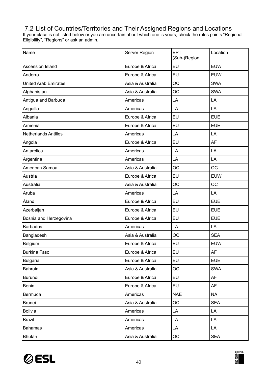# <span id="page-39-0"></span>7.2 List of Countries/Territories and Their Assigned Regions and Locations

If your place is not listed below or you are uncertain about which one is yours, check the rules points "Regional Eligibility", "Regions" or ask an admin.

| Name                        | Server Region    | <b>EPT</b><br>(Sub-)Region | Location   |
|-----------------------------|------------------|----------------------------|------------|
| Ascension Island            | Europe & Africa  | <b>EU</b>                  | <b>EUW</b> |
| Andorra                     | Europe & Africa  | EU                         | <b>EUW</b> |
| <b>United Arab Emirates</b> | Asia & Australia | OC                         | <b>SWA</b> |
| Afghanistan                 | Asia & Australia | <b>OC</b>                  | <b>SWA</b> |
| Antigua and Barbuda         | Americas         | LA                         | LA         |
| Anguilla                    | Americas         | LA                         | LA         |
| Albania                     | Europe & Africa  | EU                         | <b>EUE</b> |
| Armenia                     | Europe & Africa  | EU                         | <b>EUE</b> |
| <b>Netherlands Antilles</b> | Americas         | LA                         | LA         |
| Angola                      | Europe & Africa  | EU                         | AF         |
| Antarctica                  | Americas         | LA                         | LA         |
| Argentina                   | Americas         | LA                         | LA         |
| American Samoa              | Asia & Australia | <b>OC</b>                  | <b>OC</b>  |
| Austria                     | Europe & Africa  | EU                         | <b>EUW</b> |
| Australia                   | Asia & Australia | <b>OC</b>                  | <b>OC</b>  |
| Aruba                       | Americas         | LA                         | LA         |
| Åland                       | Europe & Africa  | EU                         | <b>EUE</b> |
| Azerbaijan                  | Europe & Africa  | EU                         | <b>EUE</b> |
| Bosnia and Herzegovina      | Europe & Africa  | EU                         | <b>EUE</b> |
| <b>Barbados</b>             | Americas         | LA                         | LA         |
| Bangladesh                  | Asia & Australia | OC                         | <b>SEA</b> |
| Belgium                     | Europe & Africa  | EU                         | <b>EUW</b> |
| <b>Burkina Faso</b>         | Europe & Africa  | EU                         | AF         |
| <b>Bulgaria</b>             | Europe & Africa  | <b>EU</b>                  | <b>EUE</b> |
| Bahrain                     | Asia & Australia | <b>OC</b>                  | <b>SWA</b> |
| Burundi                     | Europe & Africa  | <b>EU</b>                  | AF         |
| Benin                       | Europe & Africa  | EU                         | AF         |
| Bermuda                     | Americas         | <b>NAE</b>                 | <b>NA</b>  |
| <b>Brunei</b>               | Asia & Australia | <b>OC</b>                  | <b>SEA</b> |
| <b>Bolivia</b>              | Americas         | LA                         | LA         |
| Brazil                      | Americas         | LA                         | LA         |
| <b>Bahamas</b>              | Americas         | LA                         | LA         |
| <b>Bhutan</b>               | Asia & Australia | $OC$                       | <b>SEA</b> |



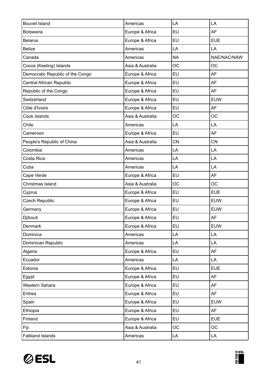| <b>Bouvet Island</b>             | Americas         | LA         | LA          |
|----------------------------------|------------------|------------|-------------|
| <b>Botswana</b>                  | Europe & Africa  | EU         | <b>AF</b>   |
| <b>Belarus</b>                   | Europe & Africa  | EU         | <b>EUE</b>  |
| <b>Belize</b>                    | Americas         | LA         | LA          |
| Canada                           | Americas         | <b>NA</b>  | NAE/NAC/NAW |
| Cocos (Keeling) Islands          | Asia & Australia | <b>OC</b>  | <b>OC</b>   |
| Democratic Republic of the Congo | Europe & Africa  | EU         | <b>AF</b>   |
| Central African Republic         | Europe & Africa  | EU         | <b>AF</b>   |
| Republic of the Congo            | Europe & Africa  | EU         | <b>AF</b>   |
| Switzerland                      | Europe & Africa  | EU         | <b>EUW</b>  |
| Côte d'Ivoire                    | Europe & Africa  | EU         | <b>AF</b>   |
| Cook Islands                     | Asia & Australia | <b>OC</b>  | <b>OC</b>   |
| Chile                            | Americas         | LA         | LA          |
| Cameroon                         | Europe & Africa  | EU         | <b>AF</b>   |
| People's Republic of China       | Asia & Australia | <b>CN</b>  | <b>CN</b>   |
| Colombia                         | Americas         | LA         | LA          |
| Costa Rica                       | Americas         | LA         | LA          |
| Cuba                             | Americas         | LA         | LA          |
| Cape Verde                       | Europe & Africa  | EU         | <b>AF</b>   |
| Christmas Island                 | Asia & Australia | OC         | <b>OC</b>   |
| Cyprus                           | Europe & Africa  | EU         | <b>EUE</b>  |
| <b>Czech Republic</b>            | Europe & Africa  | EU         | <b>EUW</b>  |
| Germany                          | Europe & Africa  | EU         | <b>EUW</b>  |
| Djibouti                         | Europe & Africa  | EU         | AF          |
| Denmark                          | Europe & Africa  | EU         | <b>EUW</b>  |
| Dominica                         | Americas         | LA         | LA          |
| Dominican Republic               | Americas         | LA         | LA          |
| Algeria                          | Europe & Africa  | EU         | AF          |
| Ecuador                          | Americas         | LA         | LA          |
| Estonia                          | Europe & Africa  | EU         | <b>EUE</b>  |
| Egypt                            | Europe & Africa  | EU         | AF          |
| Western Sahara                   | Europe & Africa  | EU         | AF          |
| Eritrea                          | Europe & Africa  | EU         | <b>AF</b>   |
| Spain                            | Europe & Africa  | EU         | <b>EUW</b>  |
| Ethiopia                         | Europe & Africa  | EU         | AF          |
| Finland                          | Europe & Africa  | EU         | <b>EUE</b>  |
| Fiji                             | Asia & Australia | <b>OC</b>  | <b>OC</b>   |
| <b>Falkland Islands</b>          | Americas         | ${\sf LA}$ | LA          |

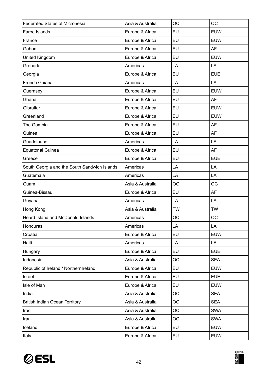| <b>Federated States of Micronesia</b>        | Asia & Australia | <b>OC</b> | <b>OC</b>  |
|----------------------------------------------|------------------|-----------|------------|
| Faroe Islands                                | Europe & Africa  | EU        | <b>EUW</b> |
| France                                       | Europe & Africa  | <b>EU</b> | <b>EUW</b> |
| Gabon                                        | Europe & Africa  | EU        | AF         |
| United Kingdom                               | Europe & Africa  | EU        | <b>EUW</b> |
| Grenada                                      | Americas         | LA        | LA         |
| Georgia                                      | Europe & Africa  | EU        | <b>EUE</b> |
| French Guiana                                | Americas         | LA        | LA         |
| Guernsey                                     | Europe & Africa  | EU        | <b>EUW</b> |
| Ghana                                        | Europe & Africa  | EU        | <b>AF</b>  |
| Gibraltar                                    | Europe & Africa  | EU        | <b>EUW</b> |
| Greenland                                    | Europe & Africa  | EU        | <b>EUW</b> |
| The Gambia                                   | Europe & Africa  | EU        | AF         |
| Guinea                                       | Europe & Africa  | EU        | <b>AF</b>  |
| Guadeloupe                                   | Americas         | LA        | LA         |
| <b>Equatorial Guinea</b>                     | Europe & Africa  | EU        | AF         |
| Greece                                       | Europe & Africa  | EU        | <b>EUE</b> |
| South Georgia and the South Sandwich Islands | Americas         | LA        | LA         |
| Guatemala                                    | Americas         | LA        | LA         |
| Guam                                         | Asia & Australia | OC        | OC         |
|                                              |                  |           |            |
| Guinea-Bissau                                | Europe & Africa  | EU        | <b>AF</b>  |
| Guyana                                       | Americas         | LA        | LA         |
| Hong Kong                                    | Asia & Australia | <b>TW</b> | <b>TW</b>  |
| Heard Island and McDonald Islands            | Americas         | <b>OC</b> | <b>OC</b>  |
| Honduras                                     | Americas         | LA        | LA         |
| Croatia                                      | Europe & Africa  | <b>EU</b> | <b>EUW</b> |
| Haiti                                        | Americas         | LA        | LA         |
| Hungary                                      | Europe & Africa  | EU        | <b>EUE</b> |
| Indonesia                                    | Asia & Australia | <b>OC</b> | <b>SEA</b> |
| Republic of Ireland / NorthernIreland        | Europe & Africa  | <b>EU</b> | <b>EUW</b> |
| Israel                                       | Europe & Africa  | EU        | <b>EUE</b> |
| Isle of Man                                  | Europe & Africa  | <b>EU</b> | <b>EUW</b> |
| India                                        | Asia & Australia | OC        | <b>SEA</b> |
| <b>British Indian Ocean Territory</b>        | Asia & Australia | <b>OC</b> | <b>SEA</b> |
| Iraq                                         | Asia & Australia | OC        | <b>SWA</b> |
| Iran                                         | Asia & Australia | OC        | <b>SWA</b> |
| Iceland                                      | Europe & Africa  | EU        | EUW        |

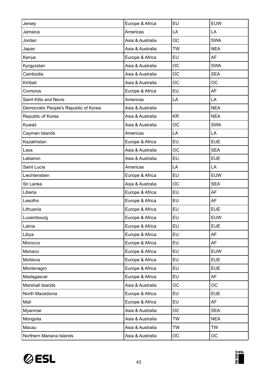| Jersey                                | Europe & Africa  | EU        | <b>EUW</b> |
|---------------------------------------|------------------|-----------|------------|
| Jamaica                               | Americas         | LA        | LA         |
| Jordan                                | Asia & Australia | <b>OC</b> | <b>SWA</b> |
| Japan                                 | Asia & Australia | <b>TW</b> | <b>NEA</b> |
| Kenya                                 | Europe & Africa  | EU        | <b>AF</b>  |
| Kyrgyzstan                            | Asia & Australia | <b>OC</b> | <b>SWA</b> |
| Cambodia                              | Asia & Australia | <b>OC</b> | <b>SEA</b> |
| Kiribati                              | Asia & Australia | <b>OC</b> | <b>OC</b>  |
| Comoros                               | Europe & Africa  | EU        | <b>AF</b>  |
| Saint Kitts and Nevis                 | Americas         | LA        | LA         |
| Democratic People's Republic of Korea | Asia & Australia |           | <b>NEA</b> |
| Republic of Korea                     | Asia & Australia | <b>KR</b> | <b>NEA</b> |
| Kuwait                                | Asia & Australia | <b>OC</b> | <b>SWA</b> |
| Cayman Islands                        | Americas         | LA        | LA         |
| Kazakhstan                            | Europe & Africa  | EU        | <b>EUE</b> |
| Laos                                  | Asia & Australia | <b>OC</b> | <b>SEA</b> |
| Lebanon                               | Asia & Australia | EU        | <b>EUE</b> |
| Saint Lucia                           | Americas         | LA        | LA         |
| Liechtenstein                         | Europe & Africa  | <b>EU</b> | <b>EUW</b> |
| Sri Lanka                             | Asia & Australia | <b>OC</b> | <b>SEA</b> |
| Liberia                               | Europe & Africa  | <b>EU</b> | <b>AF</b>  |
| Lesotho                               | Europe & Africa  | EU        | <b>AF</b>  |
| Lithuania                             | Europe & Africa  | EU        | <b>EUE</b> |
| Luxembourg                            | Europe & Africa  | EU        | <b>EUW</b> |
| Latvia                                | Europe & Africa  | <b>EU</b> | <b>EUE</b> |
| Libya                                 | Europe & Africa  | <b>EU</b> | AF         |
| Morocco                               | Europe & Africa  | <b>EU</b> | AF         |
| Monaco                                | Europe & Africa  | EU        | <b>EUW</b> |
| Moldova                               | Europe & Africa  | <b>EU</b> | <b>EUE</b> |
| Montenegro                            | Europe & Africa  | <b>EU</b> | <b>EUE</b> |
| Madagascar                            | Europe & Africa  | <b>EU</b> | AF         |
| Marshall Islands                      | Asia & Australia | <b>OC</b> | <b>OC</b>  |
| North Macedonia                       | Europe & Africa  | <b>EU</b> | <b>EUE</b> |
| Mali                                  | Europe & Africa  | <b>EU</b> | <b>AF</b>  |
| Myanmar                               | Asia & Australia | OC        | <b>SEA</b> |
| Mongolia                              | Asia & Australia | <b>TW</b> | <b>NEA</b> |
| Macau                                 | Asia & Australia | <b>TW</b> | <b>TW</b>  |
| Northern Mariana Islands              | Asia & Australia | OC        | OC         |

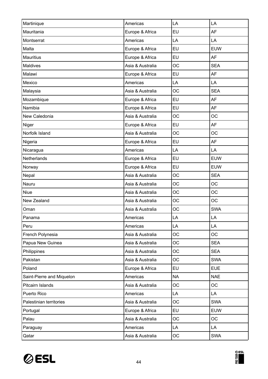| Martinique                | Americas         | LA        | LA         |
|---------------------------|------------------|-----------|------------|
| Mauritania                | Europe & Africa  | EU        | <b>AF</b>  |
| Montserrat                | Americas         | LA        | LA         |
| Malta                     | Europe & Africa  | EU        | <b>EUW</b> |
| <b>Mauritius</b>          | Europe & Africa  | EU        | AF         |
| Maldives                  | Asia & Australia | <b>OC</b> | <b>SEA</b> |
| Malawi                    | Europe & Africa  | EU        | <b>AF</b>  |
| Mexico                    | Americas         | LA        | LA         |
| Malaysia                  | Asia & Australia | <b>OC</b> | <b>SEA</b> |
| Mozambique                | Europe & Africa  | EU        | AF         |
| Namibia                   | Europe & Africa  | EU        | <b>AF</b>  |
| New Caledonia             | Asia & Australia | <b>OC</b> | <b>OC</b>  |
| Niger                     | Europe & Africa  | EU        | <b>AF</b>  |
| Norfolk Island            | Asia & Australia | <b>OC</b> | <b>OC</b>  |
| Nigeria                   | Europe & Africa  | EU        | <b>AF</b>  |
| Nicaragua                 | Americas         | LA        | LA         |
| Netherlands               | Europe & Africa  | EU        | <b>EUW</b> |
| Norway                    | Europe & Africa  | EU        | <b>EUW</b> |
| Nepal                     | Asia & Australia | <b>OC</b> | <b>SEA</b> |
| Nauru                     | Asia & Australia | <b>OC</b> | <b>OC</b>  |
| <b>Niue</b>               | Asia & Australia | <b>OC</b> | OC         |
| New Zealand               | Asia & Australia | <b>OC</b> | <b>OC</b>  |
| Oman                      | Asia & Australia | <b>OC</b> | <b>SWA</b> |
| Panama                    | Americas         | LA        | LA         |
| Peru                      | Americas         | LA        | LA         |
| French Polynesia          | Asia & Australia | <b>OC</b> | <b>OC</b>  |
| Papua New Guinea          | Asia & Australia | <b>OC</b> | <b>SEA</b> |
| Philippines               | Asia & Australia | <b>OC</b> | <b>SEA</b> |
| Pakistan                  | Asia & Australia | <b>OC</b> | <b>SWA</b> |
| Poland                    | Europe & Africa  | EU        | <b>EUE</b> |
| Saint-Pierre and Miquelon | Americas         | <b>NA</b> | <b>NAE</b> |
| Pitcairn Islands          | Asia & Australia | <b>OC</b> | OC         |
| Puerto Rico               | Americas         | LA        | LA         |
| Palestinian territories   | Asia & Australia | <b>OC</b> | <b>SWA</b> |
| Portugal                  | Europe & Africa  | EU        | <b>EUW</b> |
| Palau                     | Asia & Australia | <b>OC</b> | <b>OC</b>  |
| Paraguay                  | Americas         | LA        | LA         |
| Qatar                     | Asia & Australia | OC        | <b>SWA</b> |

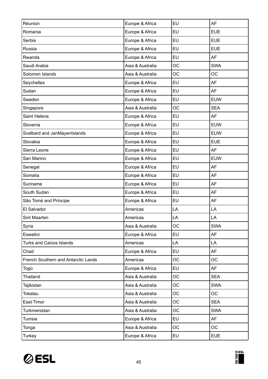| Réunion                             | Europe & Africa  | EU        | <b>AF</b>  |
|-------------------------------------|------------------|-----------|------------|
| Romania                             | Europe & Africa  | EU        | <b>EUE</b> |
| Serbia                              | Europe & Africa  | <b>EU</b> | <b>EUE</b> |
| Russia                              | Europe & Africa  | EU        | <b>EUE</b> |
| Rwanda                              | Europe & Africa  | EU        | AF         |
| Saudi Arabia                        | Asia & Australia | <b>OC</b> | <b>SWA</b> |
| Solomon Islands                     | Asia & Australia | <b>OC</b> | <b>OC</b>  |
| Seychelles                          | Europe & Africa  | EU        | AF         |
| Sudan                               | Europe & Africa  | EU        | <b>AF</b>  |
| Sweden                              | Europe & Africa  | EU        | <b>EUW</b> |
| Singapore                           | Asia & Australia | <b>OC</b> | <b>SEA</b> |
| Saint Helena                        | Europe & Africa  | EU        | <b>AF</b>  |
| Slovenia                            | Europe & Africa  | EU        | <b>EUW</b> |
| Svalbard and JanMayenIslands        | Europe & Africa  | EU        | <b>EUW</b> |
| Slovakia                            | Europe & Africa  | EU        | <b>EUE</b> |
| Sierra Leone                        | Europe & Africa  | EU        | <b>AF</b>  |
| San Marino                          | Europe & Africa  | EU        | <b>EUW</b> |
| Senegal                             | Europe & Africa  | EU        | AF         |
| Somalia                             | Europe & Africa  | <b>EU</b> | <b>AF</b>  |
| Suriname                            | Europe & Africa  | EU        | AF         |
| South Sudan                         | Europe & Africa  | EU        | AF         |
| São Tomé and Príncipe               | Europe & Africa  | EU        | AF         |
| El Salvador                         | Americas         | LA        | LA         |
| Sint Maarten                        | Americas         | LA        | LA         |
| Syria                               | Asia & Australia | <b>OC</b> | SWA        |
| Eswatini                            | Europe & Africa  | <b>EU</b> | AF         |
| <b>Turks and Caicos Islands</b>     | Americas         | LA        | LA         |
| Chad                                | Europe & Africa  | <b>EU</b> | AF         |
| French Southern and Antarctic Lands | Americas         | <b>OC</b> | <b>OC</b>  |
| Togo                                | Europe & Africa  | EU        | AF         |
| Thailand                            | Asia & Australia | <b>OC</b> | <b>SEA</b> |
| Tajikistan                          | Asia & Australia | <b>OC</b> | <b>SWA</b> |
| <b>Tokelau</b>                      | Asia & Australia | OC        | OC         |
| East Timor                          | Asia & Australia | <b>OC</b> | <b>SEA</b> |
| Turkmenistan                        | Asia & Australia | <b>OC</b> | <b>SWA</b> |
| Tunisia                             | Europe & Africa  | EU        | <b>AF</b>  |
| Tonga                               | Asia & Australia | <b>OC</b> | OC         |
| <b>Turkey</b>                       | Europe & Africa  | EU        | <b>EUE</b> |

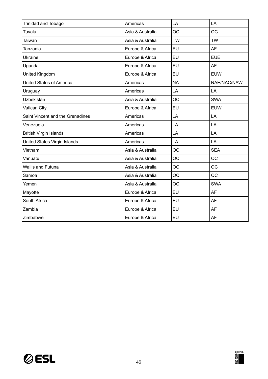| <b>Trinidad and Tobago</b>       | Americas         | LA        | LA          |
|----------------------------------|------------------|-----------|-------------|
| Tuvalu                           | Asia & Australia | <b>OC</b> | <b>OC</b>   |
| <b>Taiwan</b>                    | Asia & Australia | <b>TW</b> | <b>TW</b>   |
| Tanzania                         | Europe & Africa  | EU        | AF          |
| <b>Ukraine</b>                   | Europe & Africa  | <b>EU</b> | <b>EUE</b>  |
| Uganda                           | Europe & Africa  | EU        | <b>AF</b>   |
| United Kingdom                   | Europe & Africa  | EU        | <b>EUW</b>  |
| <b>United States of America</b>  | Americas         | <b>NA</b> | NAE/NAC/NAW |
| Uruguay                          | Americas         | LA        | LA          |
| <b>Uzbekistan</b>                | Asia & Australia | <b>OC</b> | <b>SWA</b>  |
| Vatican City                     | Europe & Africa  | EU        | <b>EUW</b>  |
| Saint Vincent and the Grenadines | Americas         | LA        | LA          |
| Venezuela                        | Americas         | LA        | LA          |
| <b>British Virgin Islands</b>    | Americas         | LA        | LA          |
| United States Virgin Islands     |                  |           |             |
|                                  | Americas         | LA        | LA          |
| Vietnam                          | Asia & Australia | <b>OC</b> | <b>SEA</b>  |
| Vanuatu                          | Asia & Australia | <b>OC</b> | <b>OC</b>   |
| <b>Wallis and Futuna</b>         | Asia & Australia | <b>OC</b> | <b>OC</b>   |
| Samoa                            | Asia & Australia | <b>OC</b> | <b>OC</b>   |
| Yemen                            | Asia & Australia | <b>OC</b> | <b>SWA</b>  |
| Mayotte                          | Europe & Africa  | EU        | AF          |
| South Africa                     | Europe & Africa  | EU        | <b>AF</b>   |
| Zambia                           | Europe & Africa  | <b>EU</b> | <b>AF</b>   |